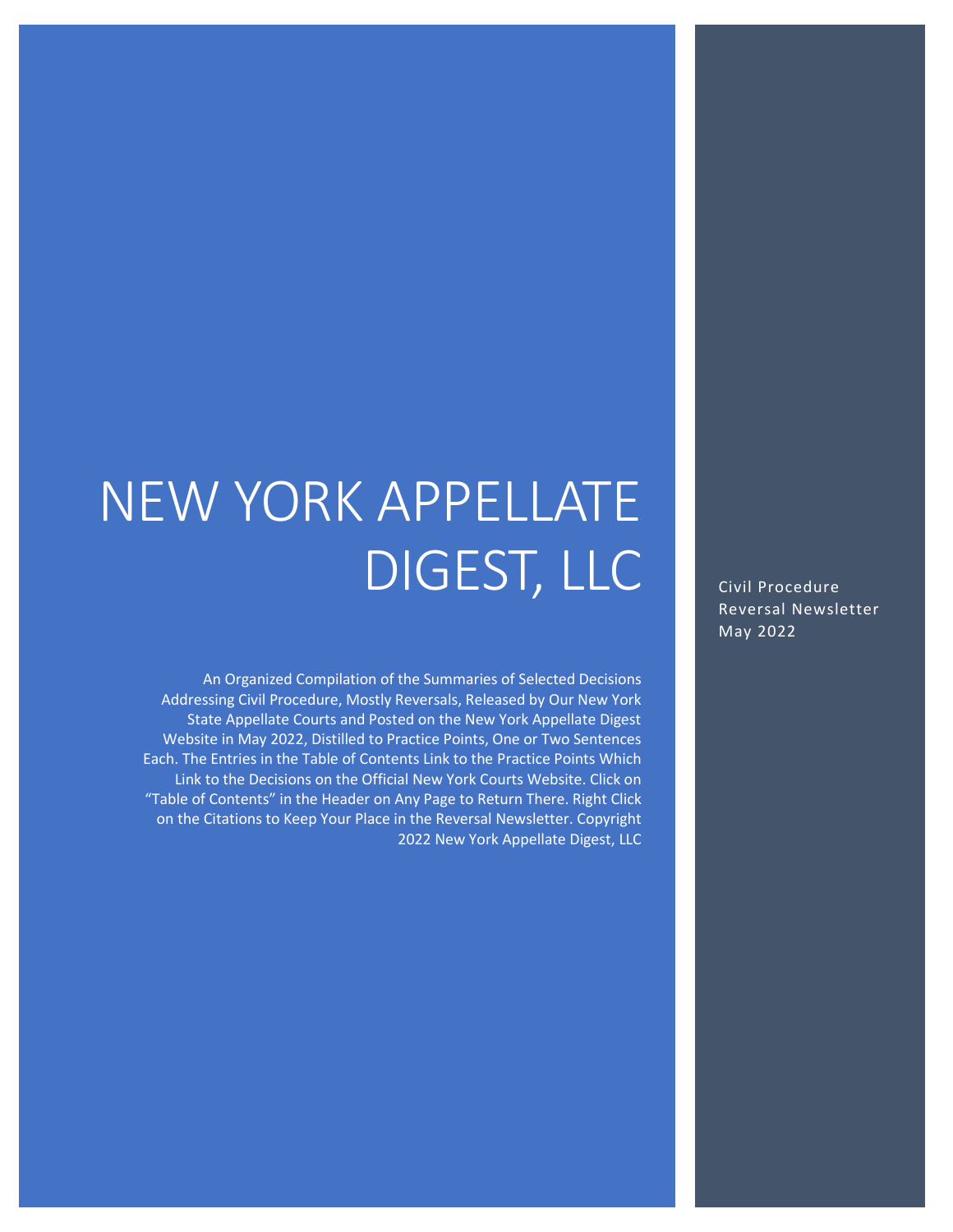# NEW YORK APPELLATE DIGEST, LLC

An Organized Compilation of the Summaries of Selected Decisions Addressing Civil Procedure, Mostly Reversals, Released by Our New York State Appellate Courts and Posted on the New York Appellate Digest Website in May 2022, Distilled to Practice Points, One or Two Sentences Each. The Entries in the Table of Contents Link to the Practice Points Which Link to the Decisions on the Official New York Courts Website. Click on "Table of Contents" in the Header on Any Page to Return There. Right Click on the Citations to Keep Your Place in the Reversal Newsletter. Copyright 2022 New York Appellate Digest, LLC

Civil Procedure Reversal Newsletter May 2022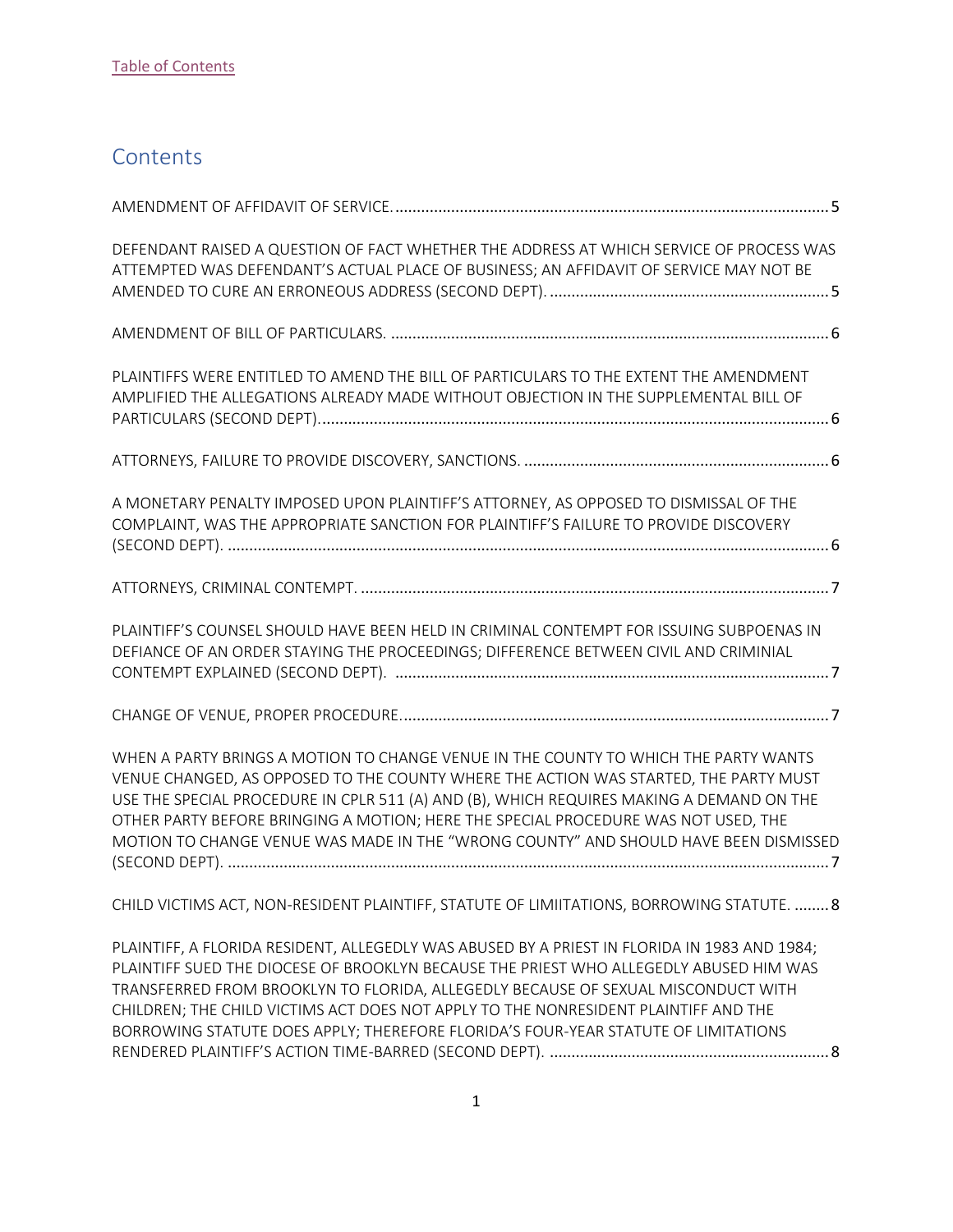## <span id="page-1-0"></span>**Contents**

| DEFENDANT RAISED A QUESTION OF FACT WHETHER THE ADDRESS AT WHICH SERVICE OF PROCESS WAS<br>ATTEMPTED WAS DEFENDANT'S ACTUAL PLACE OF BUSINESS; AN AFFIDAVIT OF SERVICE MAY NOT BE                                                                                                                                                                                                                                                                        |
|----------------------------------------------------------------------------------------------------------------------------------------------------------------------------------------------------------------------------------------------------------------------------------------------------------------------------------------------------------------------------------------------------------------------------------------------------------|
|                                                                                                                                                                                                                                                                                                                                                                                                                                                          |
| PLAINTIFFS WERE ENTITLED TO AMEND THE BILL OF PARTICULARS TO THE EXTENT THE AMENDMENT<br>AMPLIFIED THE ALLEGATIONS ALREADY MADE WITHOUT OBJECTION IN THE SUPPLEMENTAL BILL OF                                                                                                                                                                                                                                                                            |
|                                                                                                                                                                                                                                                                                                                                                                                                                                                          |
| A MONETARY PENALTY IMPOSED UPON PLAINTIFF'S ATTORNEY, AS OPPOSED TO DISMISSAL OF THE<br>COMPLAINT, WAS THE APPROPRIATE SANCTION FOR PLAINTIFF'S FAILURE TO PROVIDE DISCOVERY                                                                                                                                                                                                                                                                             |
|                                                                                                                                                                                                                                                                                                                                                                                                                                                          |
| PLAINTIFF'S COUNSEL SHOULD HAVE BEEN HELD IN CRIMINAL CONTEMPT FOR ISSUING SUBPOENAS IN<br>DEFIANCE OF AN ORDER STAYING THE PROCEEDINGS; DIFFERENCE BETWEEN CIVIL AND CRIMINIAL                                                                                                                                                                                                                                                                          |
|                                                                                                                                                                                                                                                                                                                                                                                                                                                          |
| WHEN A PARTY BRINGS A MOTION TO CHANGE VENUE IN THE COUNTY TO WHICH THE PARTY WANTS<br>VENUE CHANGED, AS OPPOSED TO THE COUNTY WHERE THE ACTION WAS STARTED, THE PARTY MUST<br>USE THE SPECIAL PROCEDURE IN CPLR 511 (A) AND (B), WHICH REQUIRES MAKING A DEMAND ON THE<br>OTHER PARTY BEFORE BRINGING A MOTION; HERE THE SPECIAL PROCEDURE WAS NOT USED, THE<br>MOTION TO CHANGE VENUE WAS MADE IN THE "WRONG COUNTY" AND SHOULD HAVE BEEN DISMISSED    |
| CHILD VICTIMS ACT, NON-RESIDENT PLAINTIFF, STATUTE OF LIMIITATIONS, BORROWING STATUTE.  8                                                                                                                                                                                                                                                                                                                                                                |
| PLAINTIFF, A FLORIDA RESIDENT, ALLEGEDLY WAS ABUSED BY A PRIEST IN FLORIDA IN 1983 AND 1984;<br>PLAINTIFF SUED THE DIOCESE OF BROOKLYN BECAUSE THE PRIEST WHO ALLEGEDLY ABUSED HIM WAS<br>TRANSFERRED FROM BROOKLYN TO FLORIDA, ALLEGEDLY BECAUSE OF SEXUAL MISCONDUCT WITH<br>CHILDREN; THE CHILD VICTIMS ACT DOES NOT APPLY TO THE NONRESIDENT PLAINTIFF AND THE<br>BORROWING STATUTE DOES APPLY; THEREFORE FLORIDA'S FOUR-YEAR STATUTE OF LIMITATIONS |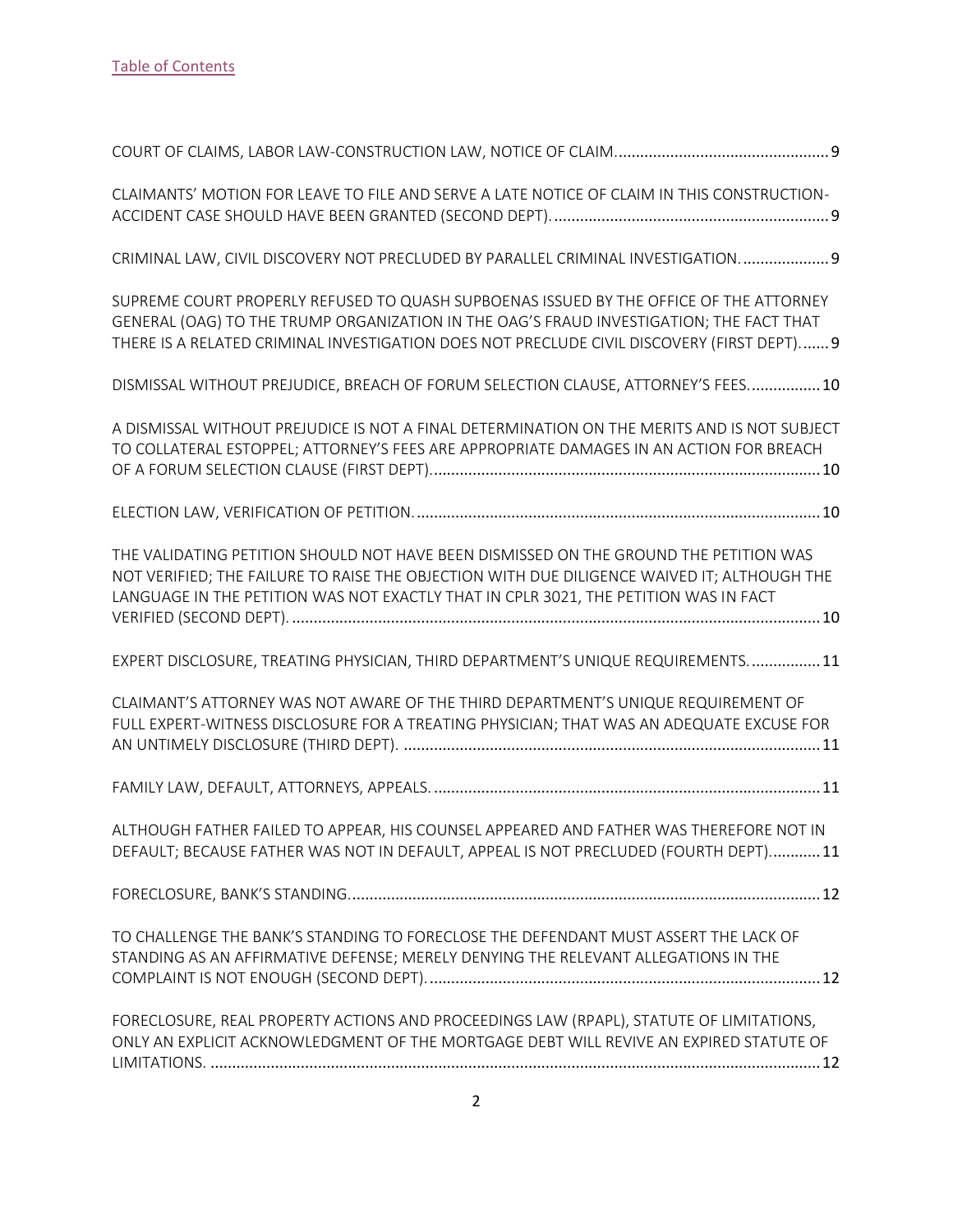| CLAIMANTS' MOTION FOR LEAVE TO FILE AND SERVE A LATE NOTICE OF CLAIM IN THIS CONSTRUCTION-                                                                                                                                                                                      |
|---------------------------------------------------------------------------------------------------------------------------------------------------------------------------------------------------------------------------------------------------------------------------------|
| CRIMINAL LAW, CIVIL DISCOVERY NOT PRECLUDED BY PARALLEL CRIMINAL INVESTIGATION 9                                                                                                                                                                                                |
| SUPREME COURT PROPERLY REFUSED TO QUASH SUPBOENAS ISSUED BY THE OFFICE OF THE ATTORNEY<br>GENERAL (OAG) TO THE TRUMP ORGANIZATION IN THE OAG'S FRAUD INVESTIGATION; THE FACT THAT<br>THERE IS A RELATED CRIMINAL INVESTIGATION DOES NOT PRECLUDE CIVIL DISCOVERY (FIRST DEPT) 9 |
| DISMISSAL WITHOUT PREJUDICE, BREACH OF FORUM SELECTION CLAUSE, ATTORNEY'S FEES 10                                                                                                                                                                                               |
| A DISMISSAL WITHOUT PREJUDICE IS NOT A FINAL DETERMINATION ON THE MERITS AND IS NOT SUBJECT<br>TO COLLATERAL ESTOPPEL; ATTORNEY'S FEES ARE APPROPRIATE DAMAGES IN AN ACTION FOR BREACH                                                                                          |
|                                                                                                                                                                                                                                                                                 |
| THE VALIDATING PETITION SHOULD NOT HAVE BEEN DISMISSED ON THE GROUND THE PETITION WAS<br>NOT VERIFIED; THE FAILURE TO RAISE THE OBJECTION WITH DUE DILIGENCE WAIVED IT; ALTHOUGH THE<br>LANGUAGE IN THE PETITION WAS NOT EXACTLY THAT IN CPLR 3021, THE PETITION WAS IN FACT    |
| EXPERT DISCLOSURE, TREATING PHYSICIAN, THIRD DEPARTMENT'S UNIQUE REQUIREMENTS 11                                                                                                                                                                                                |
| CLAIMANT'S ATTORNEY WAS NOT AWARE OF THE THIRD DEPARTMENT'S UNIQUE REQUIREMENT OF<br>FULL EXPERT-WITNESS DISCLOSURE FOR A TREATING PHYSICIAN; THAT WAS AN ADEQUATE EXCUSE FOR                                                                                                   |
|                                                                                                                                                                                                                                                                                 |
| ALTHOUGH FATHER FAILED TO APPEAR, HIS COUNSEL APPEARED AND FATHER WAS THEREFORE NOT IN<br>DEFAULT; BECAUSE FATHER WAS NOT IN DEFAULT, APPEAL IS NOT PRECLUDED (FOURTH DEPT) 11                                                                                                  |
|                                                                                                                                                                                                                                                                                 |
| TO CHALLENGE THE BANK'S STANDING TO FORECLOSE THE DEFENDANT MUST ASSERT THE LACK OF<br>STANDING AS AN AFFIRMATIVE DEFENSE; MERELY DENYING THE RELEVANT ALLEGATIONS IN THE                                                                                                       |
| FORECLOSURE, REAL PROPERTY ACTIONS AND PROCEEDINGS LAW (RPAPL), STATUTE OF LIMITATIONS,<br>ONLY AN EXPLICIT ACKNOWLEDGMENT OF THE MORTGAGE DEBT WILL REVIVE AN EXPIRED STATUTE OF                                                                                               |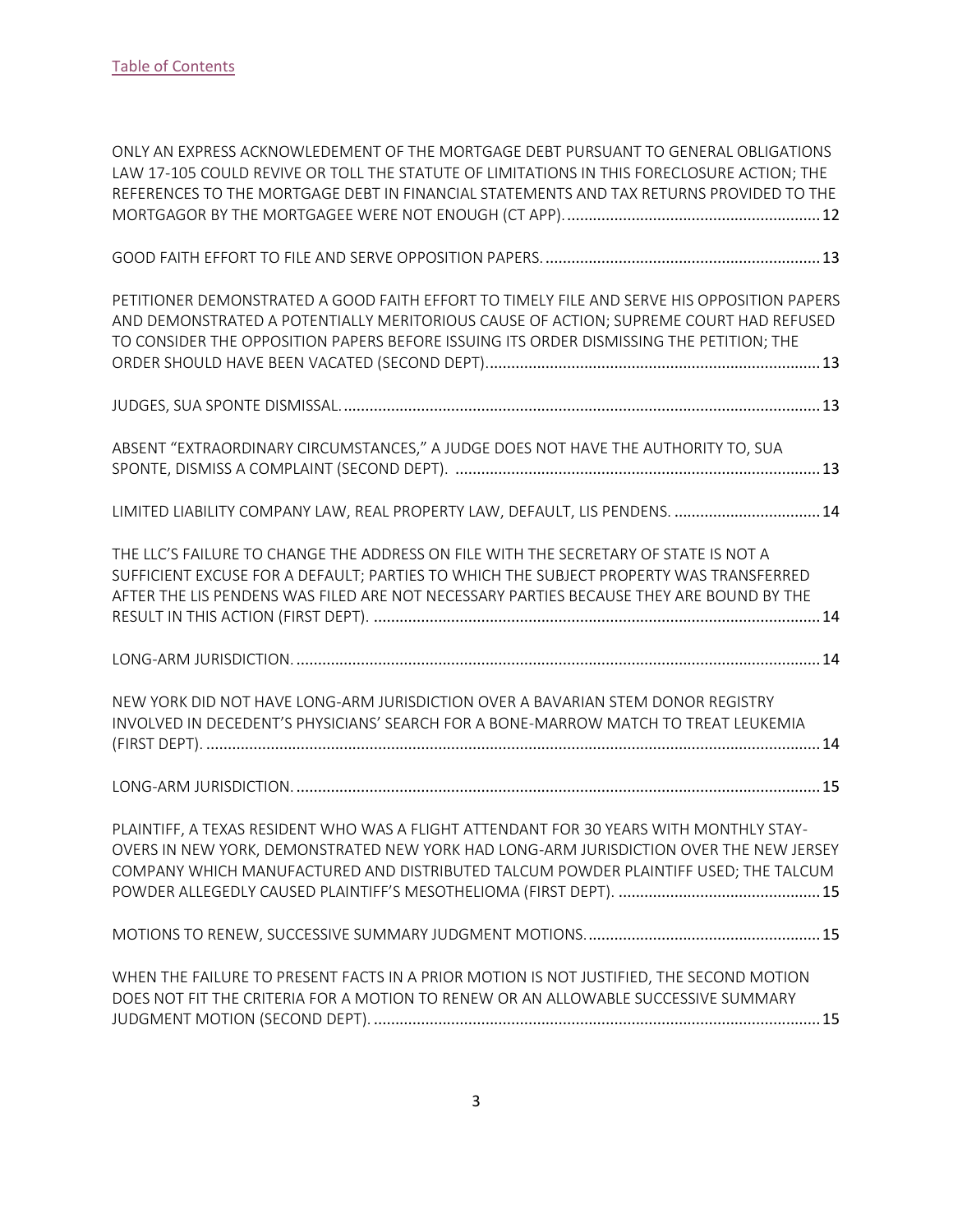| ONLY AN EXPRESS ACKNOWLEDEMENT OF THE MORTGAGE DEBT PURSUANT TO GENERAL OBLIGATIONS<br>LAW 17-105 COULD REVIVE OR TOLL THE STATUTE OF LIMITATIONS IN THIS FORECLOSURE ACTION; THE<br>REFERENCES TO THE MORTGAGE DEBT IN FINANCIAL STATEMENTS AND TAX RETURNS PROVIDED TO THE   |
|--------------------------------------------------------------------------------------------------------------------------------------------------------------------------------------------------------------------------------------------------------------------------------|
|                                                                                                                                                                                                                                                                                |
| PETITIONER DEMONSTRATED A GOOD FAITH EFFORT TO TIMELY FILE AND SERVE HIS OPPOSITION PAPERS<br>AND DEMONSTRATED A POTENTIALLY MERITORIOUS CAUSE OF ACTION; SUPREME COURT HAD REFUSED<br>TO CONSIDER THE OPPOSITION PAPERS BEFORE ISSUING ITS ORDER DISMISSING THE PETITION; THE |
|                                                                                                                                                                                                                                                                                |
| ABSENT "EXTRAORDINARY CIRCUMSTANCES," A JUDGE DOES NOT HAVE THE AUTHORITY TO, SUA                                                                                                                                                                                              |
| LIMITED LIABILITY COMPANY LAW, REAL PROPERTY LAW, DEFAULT, LIS PENDENS.  14                                                                                                                                                                                                    |
| THE LLC'S FAILURE TO CHANGE THE ADDRESS ON FILE WITH THE SECRETARY OF STATE IS NOT A<br>SUFFICIENT EXCUSE FOR A DEFAULT; PARTIES TO WHICH THE SUBJECT PROPERTY WAS TRANSFERRED<br>AFTER THE LIS PENDENS WAS FILED ARE NOT NECESSARY PARTIES BECAUSE THEY ARE BOUND BY THE      |
|                                                                                                                                                                                                                                                                                |
| NEW YORK DID NOT HAVE LONG-ARM JURISDICTION OVER A BAVARIAN STEM DONOR REGISTRY<br>INVOLVED IN DECEDENT'S PHYSICIANS' SEARCH FOR A BONE-MARROW MATCH TO TREAT LEUKEMIA                                                                                                         |
|                                                                                                                                                                                                                                                                                |
| PLAINTIFF, A TEXAS RESIDENT WHO WAS A FLIGHT ATTENDANT FOR 30 YEARS WITH MONTHLY STAY-<br>OVERS IN NEW YORK, DEMONSTRATED NEW YORK HAD LONG-ARM JURISDICTION OVER THE NEW JERSEY<br>COMPANY WHICH MANUFACTURED AND DISTRIBUTED TALCUM POWDER PLAINTIFF USED; THE TALCUM        |
|                                                                                                                                                                                                                                                                                |
| WHEN THE FAILURE TO PRESENT FACTS IN A PRIOR MOTION IS NOT JUSTIFIED, THE SECOND MOTION<br>DOES NOT FIT THE CRITERIA FOR A MOTION TO RENEW OR AN ALLOWABLE SUCCESSIVE SUMMARY                                                                                                  |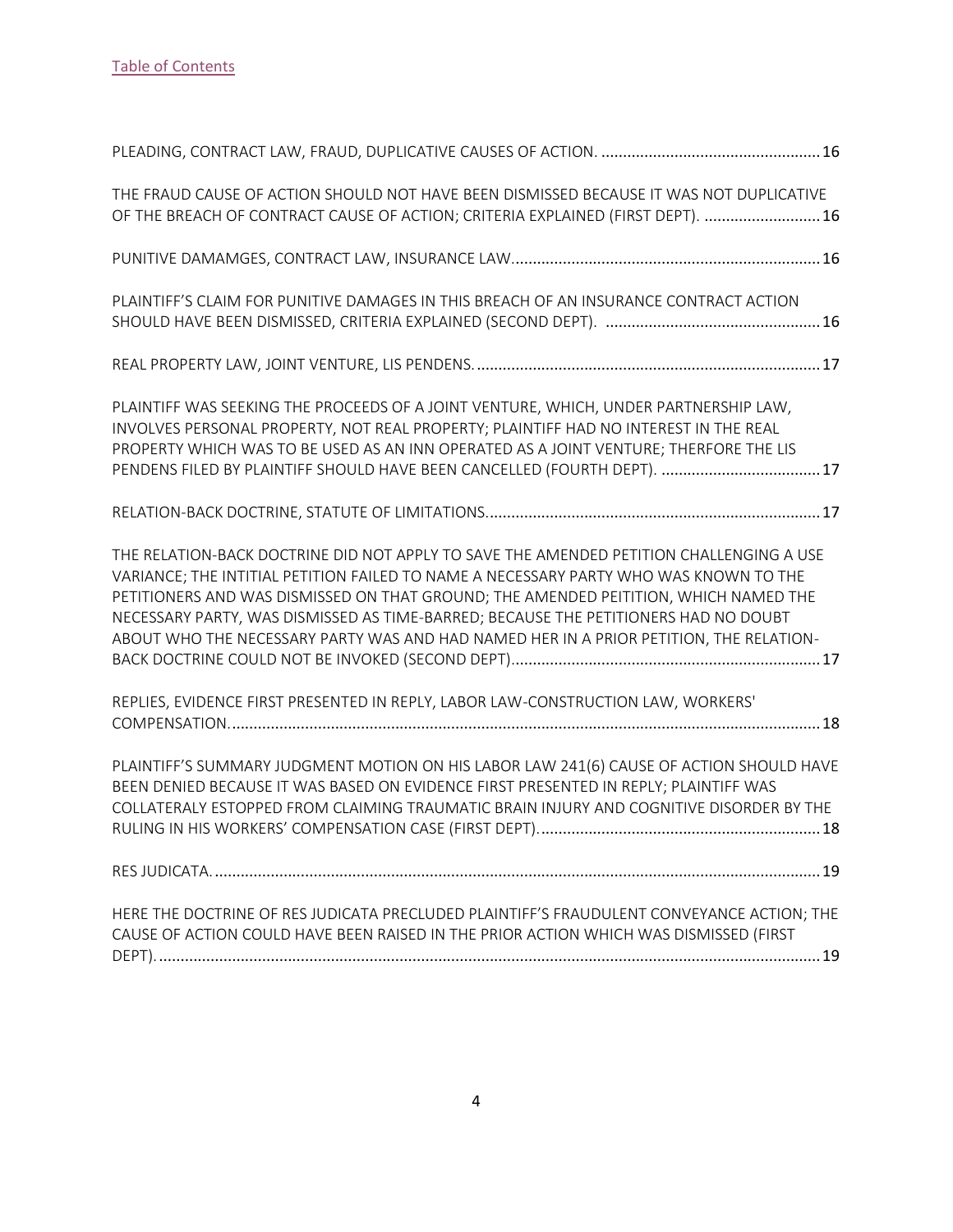| THE FRAUD CAUSE OF ACTION SHOULD NOT HAVE BEEN DISMISSED BECAUSE IT WAS NOT DUPLICATIVE<br>OF THE BREACH OF CONTRACT CAUSE OF ACTION; CRITERIA EXPLAINED (FIRST DEPT).  16                                                                                                                                                                                                                                                                                |
|-----------------------------------------------------------------------------------------------------------------------------------------------------------------------------------------------------------------------------------------------------------------------------------------------------------------------------------------------------------------------------------------------------------------------------------------------------------|
|                                                                                                                                                                                                                                                                                                                                                                                                                                                           |
| PLAINTIFF'S CLAIM FOR PUNITIVE DAMAGES IN THIS BREACH OF AN INSURANCE CONTRACT ACTION                                                                                                                                                                                                                                                                                                                                                                     |
|                                                                                                                                                                                                                                                                                                                                                                                                                                                           |
| PLAINTIFF WAS SEEKING THE PROCEEDS OF A JOINT VENTURE, WHICH, UNDER PARTNERSHIP LAW,<br>INVOLVES PERSONAL PROPERTY, NOT REAL PROPERTY; PLAINTIFF HAD NO INTEREST IN THE REAL<br>PROPERTY WHICH WAS TO BE USED AS AN INN OPERATED AS A JOINT VENTURE; THERFORE THE LIS<br>PENDENS FILED BY PLAINTIFF SHOULD HAVE BEEN CANCELLED (FOURTH DEPT). 17                                                                                                          |
|                                                                                                                                                                                                                                                                                                                                                                                                                                                           |
| THE RELATION-BACK DOCTRINE DID NOT APPLY TO SAVE THE AMENDED PETITION CHALLENGING A USE<br>VARIANCE; THE INTITIAL PETITION FAILED TO NAME A NECESSARY PARTY WHO WAS KNOWN TO THE<br>PETITIONERS AND WAS DISMISSED ON THAT GROUND; THE AMENDED PEITITION, WHICH NAMED THE<br>NECESSARY PARTY, WAS DISMISSED AS TIME-BARRED; BECAUSE THE PETITIONERS HAD NO DOUBT<br>ABOUT WHO THE NECESSARY PARTY WAS AND HAD NAMED HER IN A PRIOR PETITION, THE RELATION- |
| REPLIES, EVIDENCE FIRST PRESENTED IN REPLY, LABOR LAW-CONSTRUCTION LAW, WORKERS'                                                                                                                                                                                                                                                                                                                                                                          |
| PLAINTIFF'S SUMMARY JUDGMENT MOTION ON HIS LABOR LAW 241(6) CAUSE OF ACTION SHOULD HAVE<br>BEEN DENIED BECAUSE IT WAS BASED ON EVIDENCE FIRST PRESENTED IN REPLY; PLAINTIFF WAS<br>COLLATERALY ESTOPPED FROM CLAIMING TRAUMATIC BRAIN INJURY AND COGNITIVE DISORDER BY THE                                                                                                                                                                                |
|                                                                                                                                                                                                                                                                                                                                                                                                                                                           |
| HERE THE DOCTRINE OF RES JUDICATA PRECLUDED PLAINTIFF'S FRAUDULENT CONVEYANCE ACTION; THE<br>CAUSE OF ACTION COULD HAVE BEEN RAISED IN THE PRIOR ACTION WHICH WAS DISMISSED (FIRST                                                                                                                                                                                                                                                                        |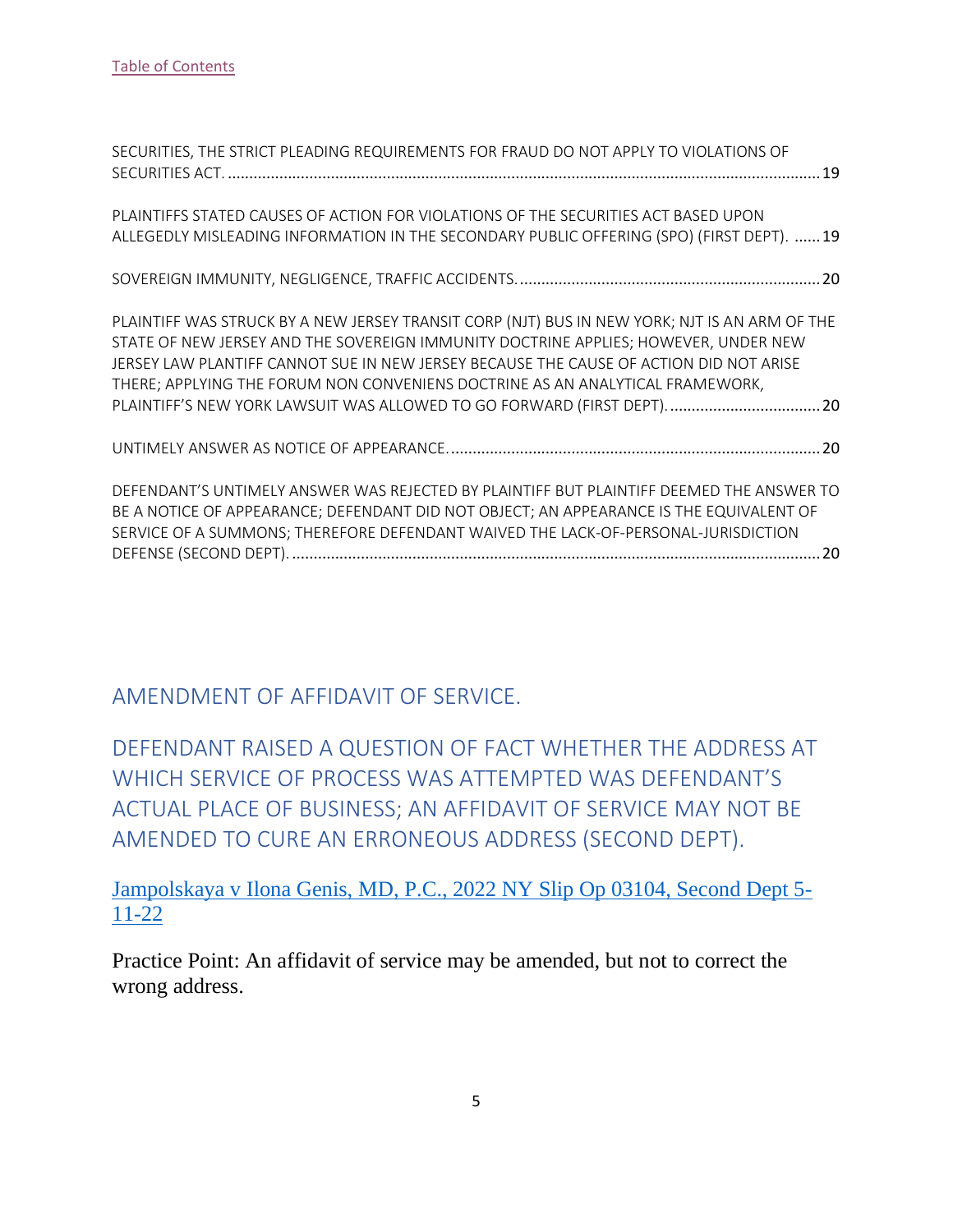| SECURITIES, THE STRICT PLEADING REQUIREMENTS FOR FRAUD DO NOT APPLY TO VIOLATIONS OF                                                                                                                                                                                                                                                                                                                                                        |
|---------------------------------------------------------------------------------------------------------------------------------------------------------------------------------------------------------------------------------------------------------------------------------------------------------------------------------------------------------------------------------------------------------------------------------------------|
| PLAINTIFFS STATED CAUSES OF ACTION FOR VIOLATIONS OF THE SECURITIES ACT BASED UPON<br>ALLEGEDLY MISLEADING INFORMATION IN THE SECONDARY PUBLIC OFFERING (SPO) (FIRST DEPT). 19                                                                                                                                                                                                                                                              |
|                                                                                                                                                                                                                                                                                                                                                                                                                                             |
| PLAINTIFF WAS STRUCK BY A NEW JERSEY TRANSIT CORP (NJT) BUS IN NEW YORK; NJT IS AN ARM OF THE<br>STATE OF NEW JERSEY AND THE SOVEREIGN IMMUNITY DOCTRINE APPLIES; HOWEVER, UNDER NEW<br>JERSEY LAW PLANTIFF CANNOT SUE IN NEW JERSEY BECAUSE THE CAUSE OF ACTION DID NOT ARISE<br>THERE; APPLYING THE FORUM NON CONVENIENS DOCTRINE AS AN ANALYTICAL FRAMEWORK,<br>PLAINTIFF'S NEW YORK LAWSUIT WAS ALLOWED TO GO FORWARD (FIRST DEPT).  20 |
|                                                                                                                                                                                                                                                                                                                                                                                                                                             |
| DEFENDANT'S UNTIMELY ANSWER WAS REJECTED BY PLAINTIFF BUT PLAINTIFF DEEMED THE ANSWER TO<br>BE A NOTICE OF APPEARANCE; DEFENDANT DID NOT OBJECT; AN APPEARANCE IS THE EQUIVALENT OF<br>SERVICE OF A SUMMONS; THEREFORE DEFENDANT WAIVED THE LACK-OF-PERSONAL-JURISDICTION                                                                                                                                                                   |

<span id="page-5-0"></span>AMENDMENT OF AFFIDAVIT OF SERVICE.

<span id="page-5-1"></span>DEFENDANT RAISED A QUESTION OF FACT WHETHER THE ADDRESS AT WHICH SERVICE OF PROCESS WAS ATTEMPTED WAS DEFENDANT'S ACTUAL PLACE OF BUSINESS; AN AFFIDAVIT OF SERVICE MAY NOT BE AMENDED TO CURE AN ERRONEOUS ADDRESS (SECOND DEPT).

[Jampolskaya v Ilona Genis, MD, P.C., 2022 NY Slip Op 03104, Second Dept 5-](https://nycourts.gov/reporter/3dseries/2022/2022_03104.htm) [11-22](https://nycourts.gov/reporter/3dseries/2022/2022_03104.htm)

Practice Point: An affidavit of service may be amended, but not to correct the wrong address.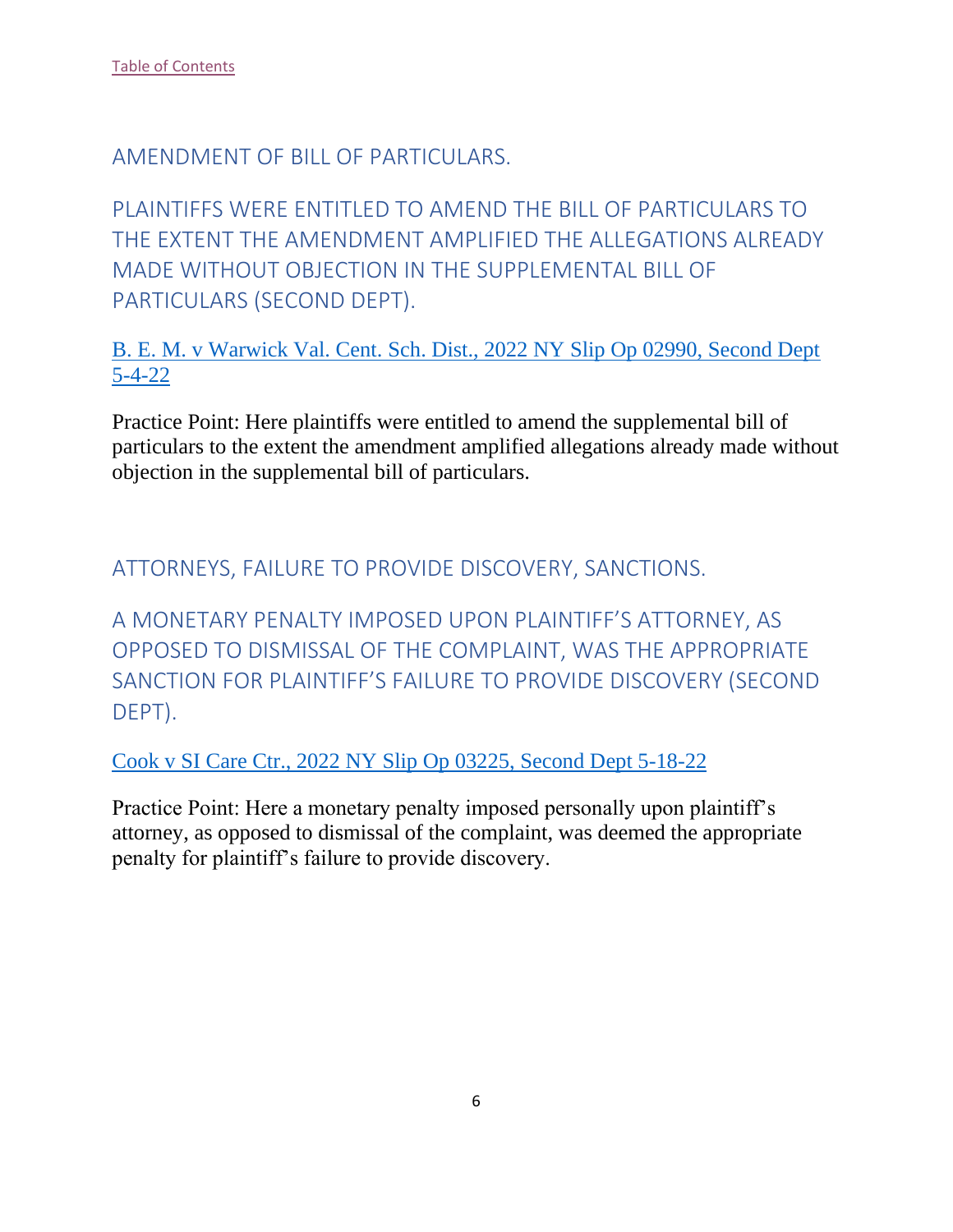<span id="page-6-0"></span>AMENDMENT OF BILL OF PARTICULARS.

<span id="page-6-1"></span>PLAINTIFFS WERE ENTITLED TO AMEND THE BILL OF PARTICULARS TO THE EXTENT THE AMENDMENT AMPLIFIED THE ALLEGATIONS ALREADY MADE WITHOUT OBJECTION IN THE SUPPLEMENTAL BILL OF PARTICULARS (SECOND DEPT).

[B. E. M. v Warwick Val. Cent. Sch. Dist., 2022 NY Slip Op 02990, Second Dept](https://nycourts.gov/reporter/3dseries/2022/2022_02990.htm)  [5-4-22](https://nycourts.gov/reporter/3dseries/2022/2022_02990.htm)

Practice Point: Here plaintiffs were entitled to amend the supplemental bill of particulars to the extent the amendment amplified allegations already made without objection in the supplemental bill of particulars.

<span id="page-6-2"></span>ATTORNEYS, FAILURE TO PROVIDE DISCOVERY, SANCTIONS.

<span id="page-6-3"></span>A MONETARY PENALTY IMPOSED UPON PLAINTIFF'S ATTORNEY, AS OPPOSED TO DISMISSAL OF THE COMPLAINT, WAS THE APPROPRIATE SANCTION FOR PLAINTIFF'S FAILURE TO PROVIDE DISCOVERY (SECOND DEPT).

[Cook v SI Care Ctr., 2022 NY Slip Op 03225, Second Dept 5-18-22](https://nycourts.gov/reporter/3dseries/2022/2022_03225.htm)

Practice Point: Here a monetary penalty imposed personally upon plaintiff's attorney, as opposed to dismissal of the complaint, was deemed the appropriate penalty for plaintiff's failure to provide discovery.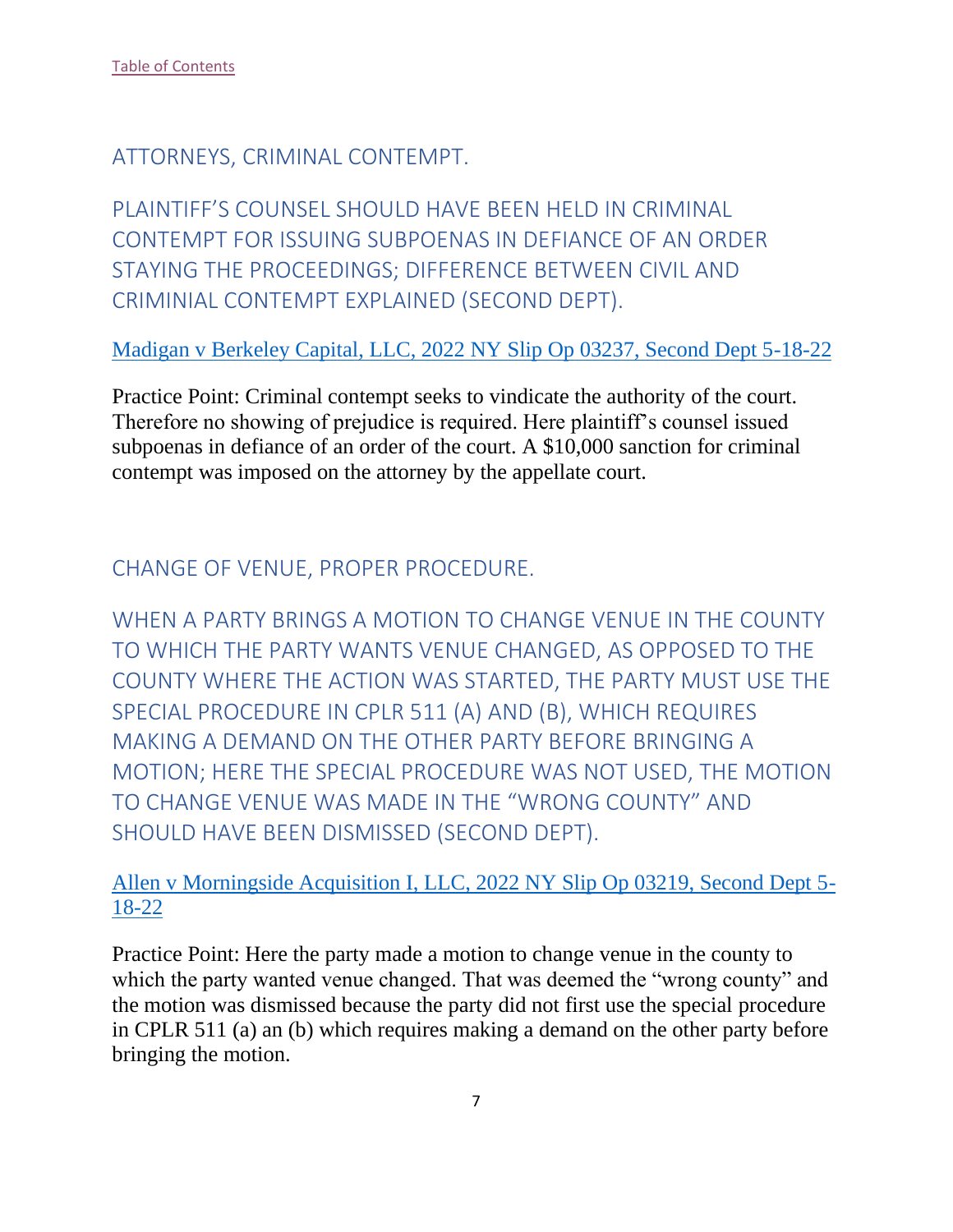<span id="page-7-0"></span>ATTORNEYS, CRIMINAL CONTEMPT.

<span id="page-7-1"></span>PLAINTIFF'S COUNSEL SHOULD HAVE BEEN HELD IN CRIMINAL CONTEMPT FOR ISSUING SUBPOENAS IN DEFIANCE OF AN ORDER STAYING THE PROCEEDINGS; DIFFERENCE BETWEEN CIVIL AND CRIMINIAL CONTEMPT EXPLAINED (SECOND DEPT).

[Madigan v Berkeley Capital, LLC, 2022 NY Slip Op 03237, Second Dept 5-18-22](https://nycourts.gov/reporter/3dseries/2022/2022_03237.htm)

Practice Point: Criminal contempt seeks to vindicate the authority of the court. Therefore no showing of prejudice is required. Here plaintiff's counsel issued subpoenas in defiance of an order of the court. A \$10,000 sanction for criminal contempt was imposed on the attorney by the appellate court.

## <span id="page-7-2"></span>CHANGE OF VENUE, PROPER PROCEDURE.

<span id="page-7-3"></span>WHEN A PARTY BRINGS A MOTION TO CHANGE VENUE IN THE COUNTY TO WHICH THE PARTY WANTS VENUE CHANGED, AS OPPOSED TO THE COUNTY WHERE THE ACTION WAS STARTED, THE PARTY MUST USE THE SPECIAL PROCEDURE IN CPLR 511 (A) AND (B), WHICH REQUIRES MAKING A DEMAND ON THE OTHER PARTY BEFORE BRINGING A MOTION; HERE THE SPECIAL PROCEDURE WAS NOT USED, THE MOTION TO CHANGE VENUE WAS MADE IN THE "WRONG COUNTY" AND SHOULD HAVE BEEN DISMISSED (SECOND DEPT).

#### [Allen v Morningside Acquisition I, LLC, 2022 NY Slip Op 03219, Second Dept 5-](https://nycourts.gov/reporter/3dseries/2022/2022_03219.htm) [18-22](https://nycourts.gov/reporter/3dseries/2022/2022_03219.htm)

Practice Point: Here the party made a motion to change venue in the county to which the party wanted venue changed. That was deemed the "wrong county" and the motion was dismissed because the party did not first use the special procedure in CPLR 511 (a) an (b) which requires making a demand on the other party before bringing the motion.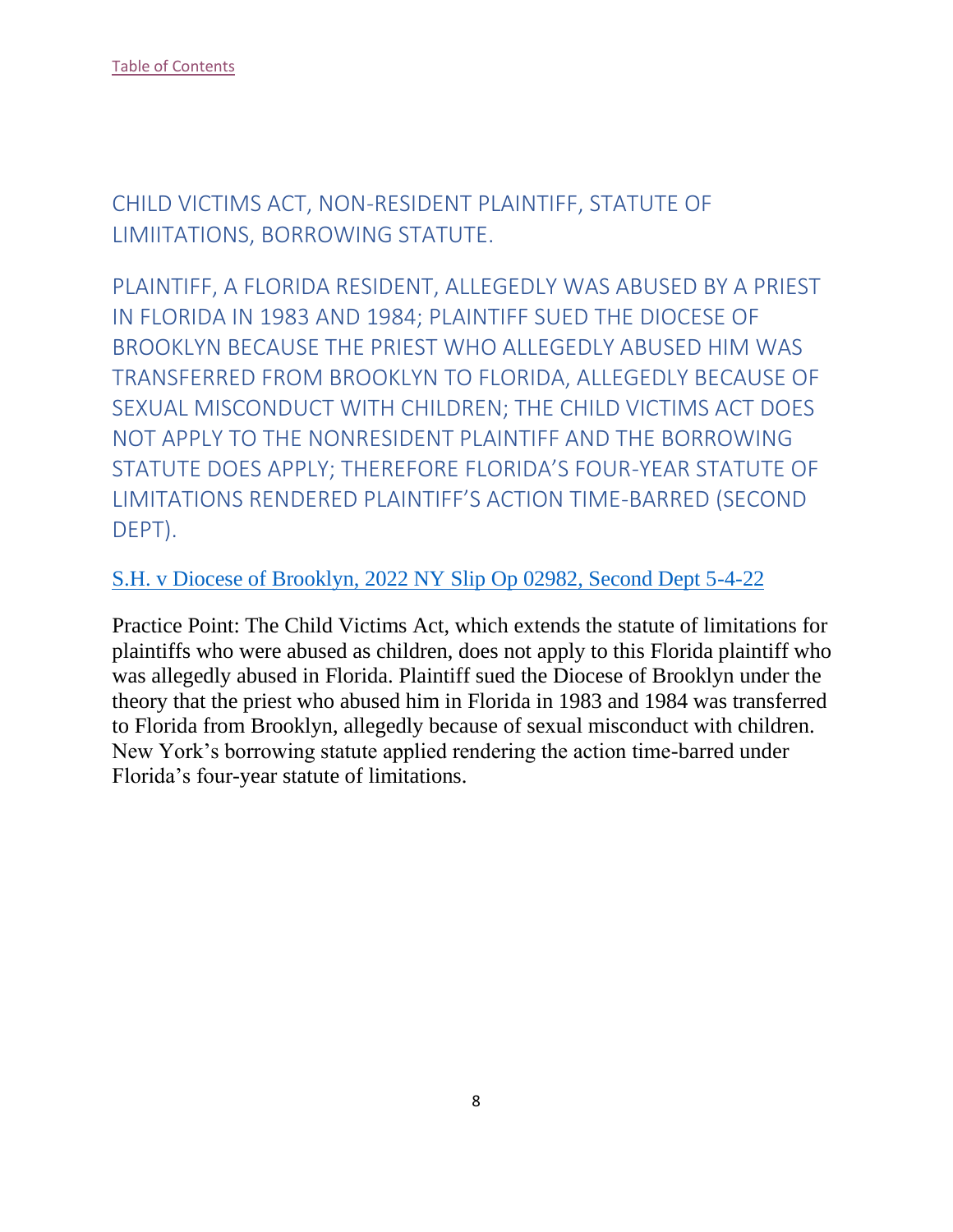<span id="page-8-0"></span>CHILD VICTIMS ACT, NON-RESIDENT PLAINTIFF, STATUTE OF LIMIITATIONS, BORROWING STATUTE.

<span id="page-8-1"></span>PLAINTIFF, A FLORIDA RESIDENT, ALLEGEDLY WAS ABUSED BY A PRIEST IN FLORIDA IN 1983 AND 1984; PLAINTIFF SUED THE DIOCESE OF BROOKLYN BECAUSE THE PRIEST WHO ALLEGEDLY ABUSED HIM WAS TRANSFERRED FROM BROOKLYN TO FLORIDA, ALLEGEDLY BECAUSE OF SEXUAL MISCONDUCT WITH CHILDREN; THE CHILD VICTIMS ACT DOES NOT APPLY TO THE NONRESIDENT PLAINTIFF AND THE BORROWING STATUTE DOES APPLY; THEREFORE FLORIDA'S FOUR-YEAR STATUTE OF LIMITATIONS RENDERED PLAINTIFF'S ACTION TIME-BARRED (SECOND DEPT).

#### [S.H. v Diocese of Brooklyn, 2022 NY Slip Op 02982, Second Dept 5-4-22](https://nycourts.gov/reporter/3dseries/2022/2022_02982.htm)

Practice Point: The Child Victims Act, which extends the statute of limitations for plaintiffs who were abused as children, does not apply to this Florida plaintiff who was allegedly abused in Florida. Plaintiff sued the Diocese of Brooklyn under the theory that the priest who abused him in Florida in 1983 and 1984 was transferred to Florida from Brooklyn, allegedly because of sexual misconduct with children. New York's borrowing statute applied rendering the action time-barred under Florida's four-year statute of limitations.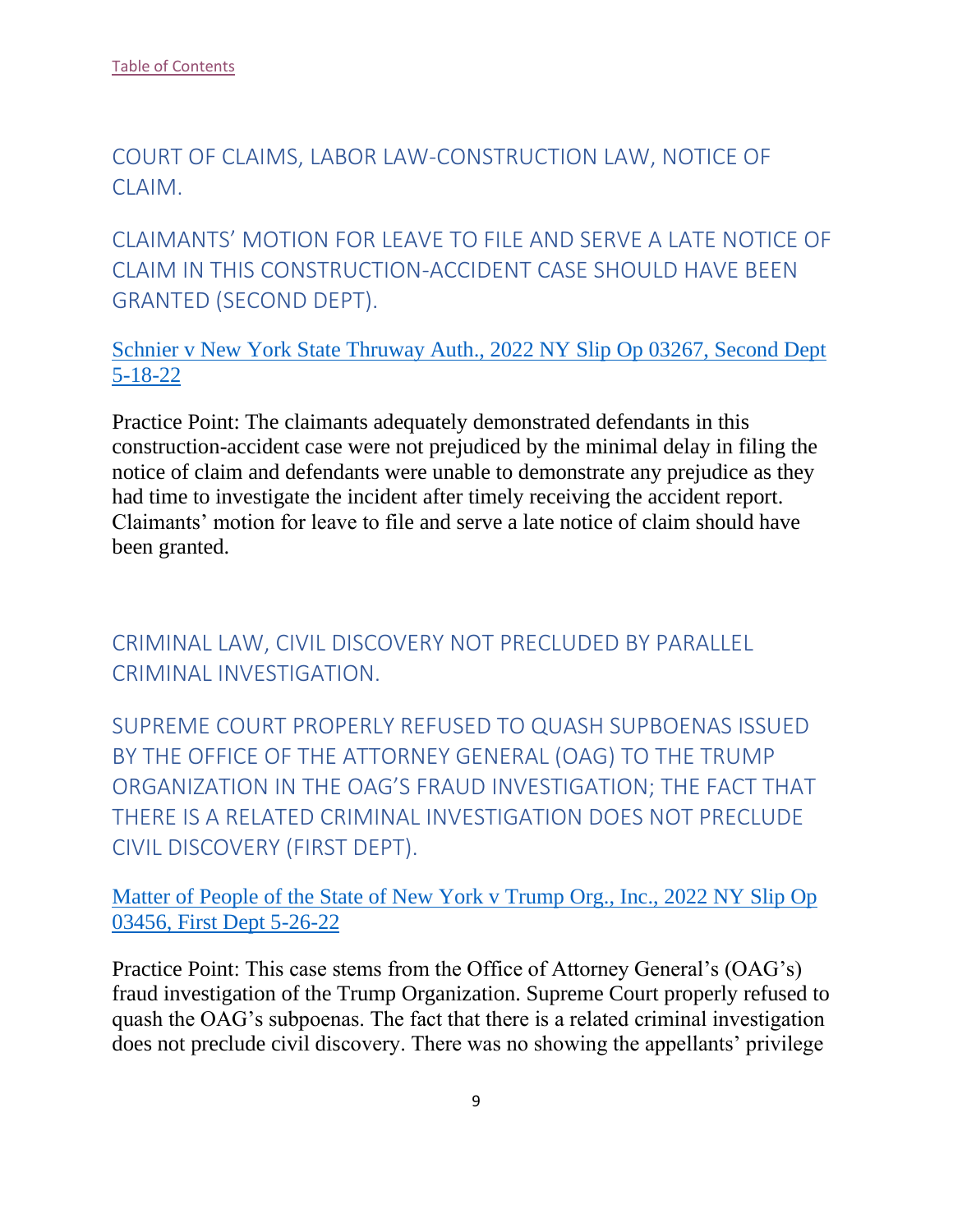<span id="page-9-0"></span>COURT OF CLAIMS, LABOR LAW-CONSTRUCTION LAW, NOTICE OF CLAIM.

<span id="page-9-1"></span>CLAIMANTS' MOTION FOR LEAVE TO FILE AND SERVE A LATE NOTICE OF CLAIM IN THIS CONSTRUCTION-ACCIDENT CASE SHOULD HAVE BEEN GRANTED (SECOND DEPT).

[Schnier v New York State Thruway Auth., 2022 NY Slip Op 03267, Second Dept](https://nycourts.gov/reporter/3dseries/2022/2022_03267.htm)  [5-18-22](https://nycourts.gov/reporter/3dseries/2022/2022_03267.htm)

Practice Point: The claimants adequately demonstrated defendants in this construction-accident case were not prejudiced by the minimal delay in filing the notice of claim and defendants were unable to demonstrate any prejudice as they had time to investigate the incident after timely receiving the accident report. Claimants' motion for leave to file and serve a late notice of claim should have been granted.

<span id="page-9-2"></span>CRIMINAL LAW, CIVIL DISCOVERY NOT PRECLUDED BY PARALLEL CRIMINAL INVESTIGATION.

<span id="page-9-3"></span>SUPREME COURT PROPERLY REFUSED TO QUASH SUPBOENAS ISSUED BY THE OFFICE OF THE ATTORNEY GENERAL (OAG) TO THE TRUMP ORGANIZATION IN THE OAG'S FRAUD INVESTIGATION; THE FACT THAT THERE IS A RELATED CRIMINAL INVESTIGATION DOES NOT PRECLUDE CIVIL DISCOVERY (FIRST DEPT).

[Matter of People of the State of New York v Trump Org., Inc., 2022 NY Slip Op](https://nycourts.gov/reporter/3dseries/2022/2022_03456.htm)  [03456, First Dept 5-26-22](https://nycourts.gov/reporter/3dseries/2022/2022_03456.htm)

Practice Point: This case stems from the Office of Attorney General's (OAG's) fraud investigation of the Trump Organization. Supreme Court properly refused to quash the OAG's subpoenas. The fact that there is a related criminal investigation does not preclude civil discovery. There was no showing the appellants' privilege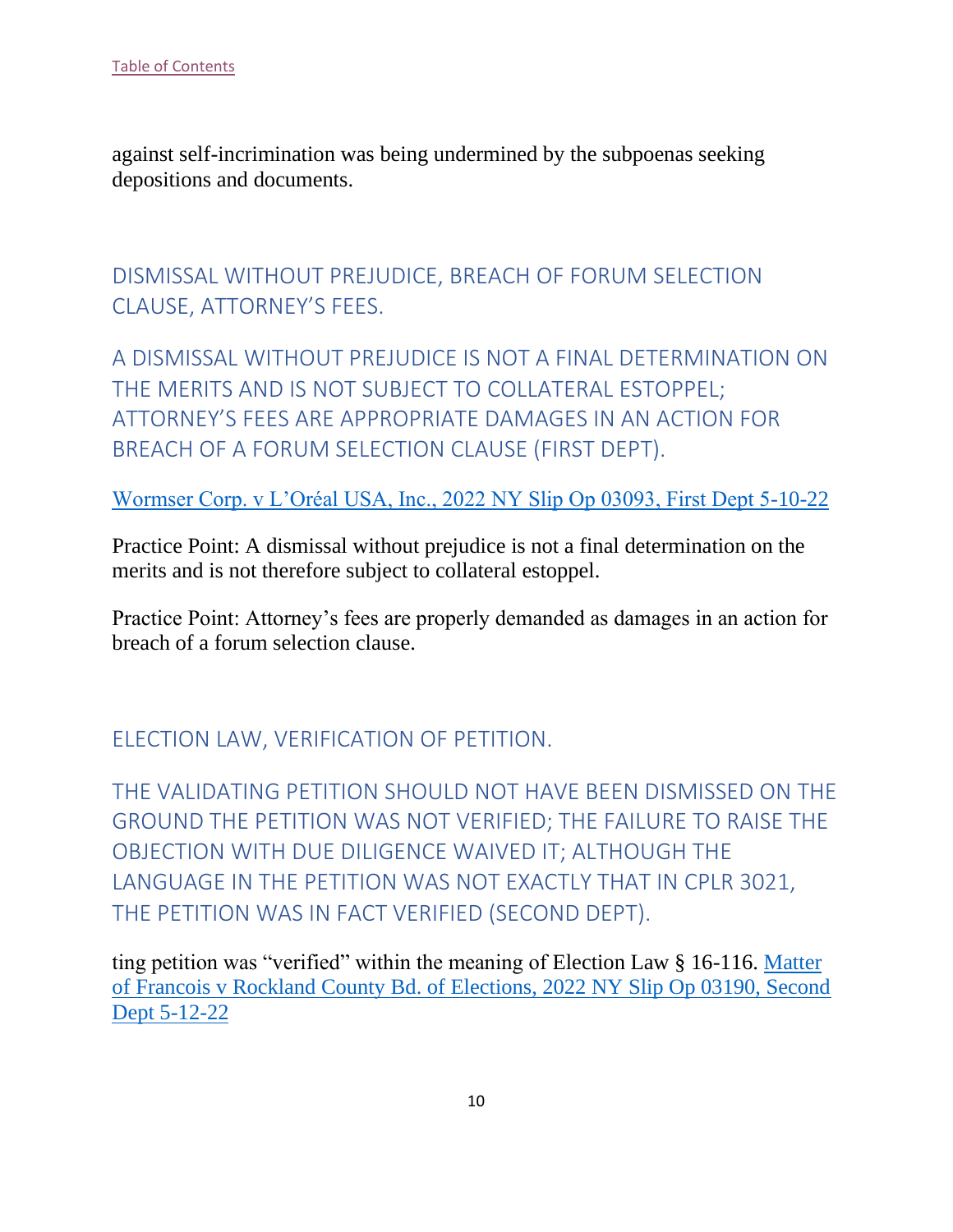against self-incrimination was being undermined by the subpoenas seeking depositions and documents.

<span id="page-10-0"></span>DISMISSAL WITHOUT PREJUDICE, BREACH OF FORUM SELECTION CLAUSE, ATTORNEY'S FEES.

<span id="page-10-1"></span>A DISMISSAL WITHOUT PREJUDICE IS NOT A FINAL DETERMINATION ON THE MERITS AND IS NOT SUBJECT TO COLLATERAL ESTOPPEL; ATTORNEY'S FEES ARE APPROPRIATE DAMAGES IN AN ACTION FOR BREACH OF A FORUM SELECTION CLAUSE (FIRST DEPT).

[Wormser Corp. v L'Oréal USA, Inc., 2022 NY Slip Op 03093, First Dept 5-10-22](https://nycourts.gov/reporter/3dseries/2022/2022_03093.htm)

Practice Point: A dismissal without prejudice is not a final determination on the merits and is not therefore subject to collateral estoppel.

Practice Point: Attorney's fees are properly demanded as damages in an action for breach of a forum selection clause.

<span id="page-10-2"></span>ELECTION LAW, VERIFICATION OF PETITION.

<span id="page-10-3"></span>THE VALIDATING PETITION SHOULD NOT HAVE BEEN DISMISSED ON THE GROUND THE PETITION WAS NOT VERIFIED; THE FAILURE TO RAISE THE OBJECTION WITH DUE DILIGENCE WAIVED IT; ALTHOUGH THE LANGUAGE IN THE PETITION WAS NOT EXACTLY THAT IN CPLR 3021, THE PETITION WAS IN FACT VERIFIED (SECOND DEPT).

ting petition was "verified" within the meaning of Election Law § 16-116. [Matter](https://nycourts.gov/reporter/3dseries/2022/2022_03190.htm)  [of Francois v Rockland County Bd. of Elections, 2022 NY Slip Op 03190, Second](https://nycourts.gov/reporter/3dseries/2022/2022_03190.htm)  [Dept 5-12-22](https://nycourts.gov/reporter/3dseries/2022/2022_03190.htm)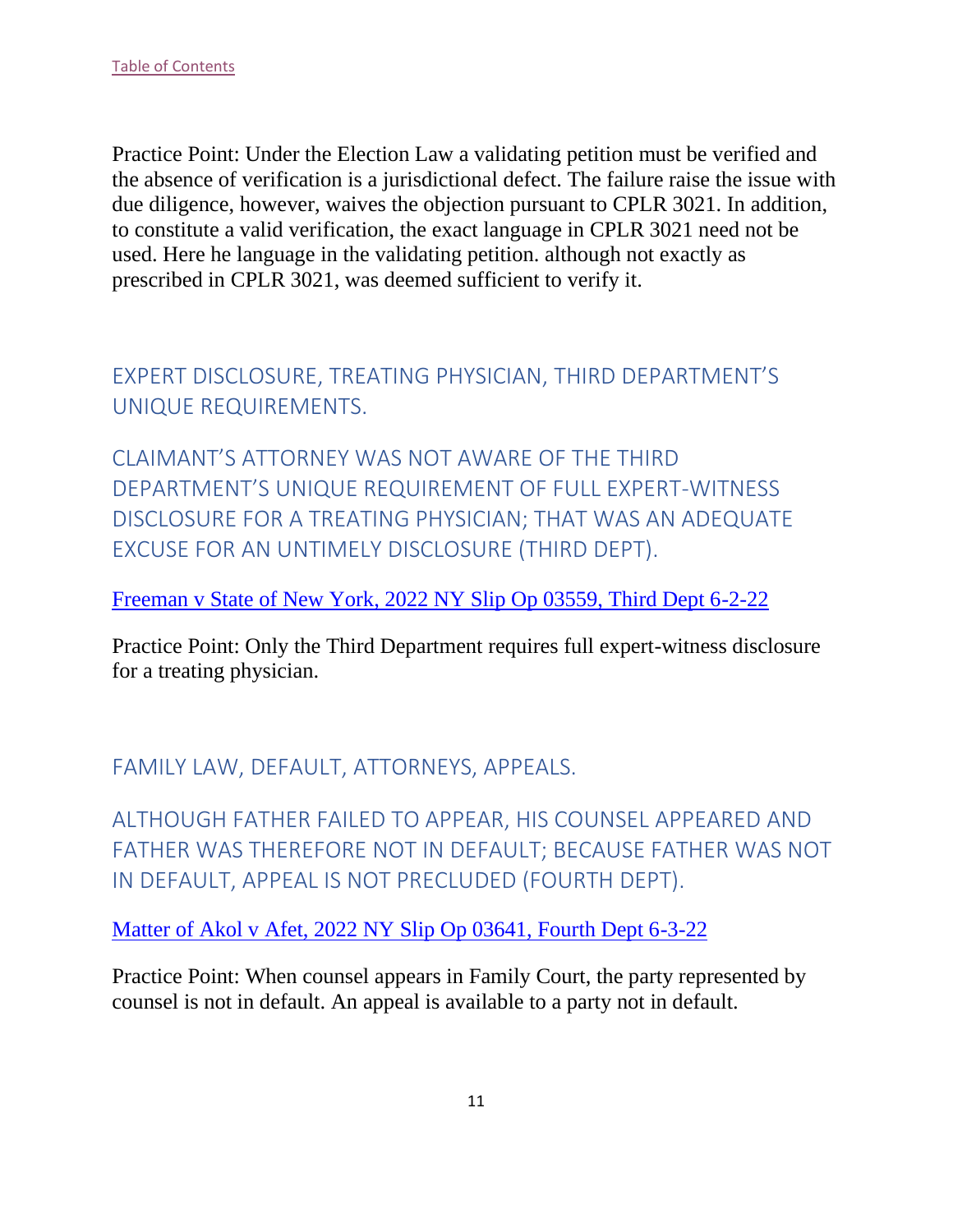Practice Point: Under the Election Law a validating petition must be verified and the absence of verification is a jurisdictional defect. The failure raise the issue with due diligence, however, waives the objection pursuant to CPLR 3021. In addition, to constitute a valid verification, the exact language in CPLR 3021 need not be used. Here he language in the validating petition. although not exactly as prescribed in CPLR 3021, was deemed sufficient to verify it.

<span id="page-11-0"></span>EXPERT DISCLOSURE, TREATING PHYSICIAN, THIRD DEPARTMENT'S UNIQUE REQUIREMENTS.

<span id="page-11-1"></span>CLAIMANT'S ATTORNEY WAS NOT AWARE OF THE THIRD DEPARTMENT'S UNIQUE REQUIREMENT OF FULL EXPERT-WITNESS DISCLOSURE FOR A TREATING PHYSICIAN; THAT WAS AN ADEQUATE EXCUSE FOR AN UNTIMELY DISCLOSURE (THIRD DEPT).

[Freeman v State of New York, 2022 NY Slip Op 03559, Third Dept 6-2-22](https://nycourts.gov/reporter/3dseries/2022/2022_03559.htm)

Practice Point: Only the Third Department requires full expert-witness disclosure for a treating physician.

<span id="page-11-2"></span>FAMILY LAW, DEFAULT, ATTORNEYS, APPEALS.

<span id="page-11-3"></span>ALTHOUGH FATHER FAILED TO APPEAR, HIS COUNSEL APPEARED AND FATHER WAS THEREFORE NOT IN DEFAULT; BECAUSE FATHER WAS NOT IN DEFAULT, APPEAL IS NOT PRECLUDED (FOURTH DEPT).

[Matter of Akol v Afet, 2022 NY Slip Op 03641, Fourth Dept 6-3-22](https://nycourts.gov/reporter/3dseries/2022/2022_03641.htm)

Practice Point: When counsel appears in Family Court, the party represented by counsel is not in default. An appeal is available to a party not in default.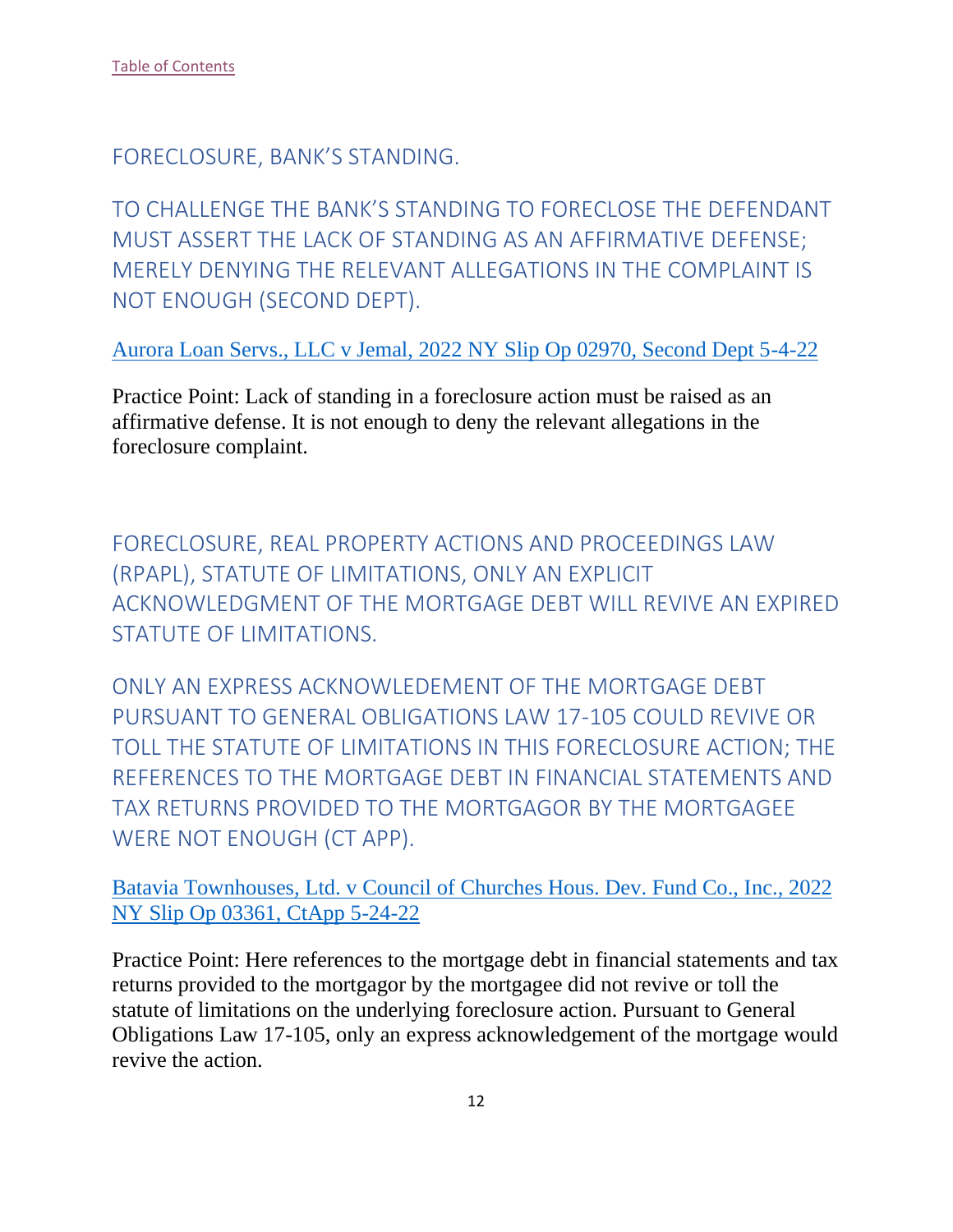<span id="page-12-0"></span>FORECLOSURE, BANK'S STANDING.

<span id="page-12-1"></span>TO CHALLENGE THE BANK'S STANDING TO FORECLOSE THE DEFENDANT MUST ASSERT THE LACK OF STANDING AS AN AFFIRMATIVE DEFENSE; MERELY DENYING THE RELEVANT ALLEGATIONS IN THE COMPLAINT IS NOT ENOUGH (SECOND DEPT).

[Aurora Loan Servs., LLC v Jemal, 2022 NY Slip Op 02970, Second Dept 5-4-22](https://nycourts.gov/reporter/3dseries/2022/2022_02970.htm)

Practice Point: Lack of standing in a foreclosure action must be raised as an affirmative defense. It is not enough to deny the relevant allegations in the foreclosure complaint.

<span id="page-12-2"></span>FORECLOSURE, REAL PROPERTY ACTIONS AND PROCEEDINGS LAW (RPAPL), STATUTE OF LIMITATIONS, ONLY AN EXPLICIT ACKNOWLEDGMENT OF THE MORTGAGE DEBT WILL REVIVE AN EXPIRED STATUTE OF LIMITATIONS.

<span id="page-12-3"></span>ONLY AN EXPRESS ACKNOWLEDEMENT OF THE MORTGAGE DEBT PURSUANT TO GENERAL OBLIGATIONS LAW 17-105 COULD REVIVE OR TOLL THE STATUTE OF LIMITATIONS IN THIS FORECLOSURE ACTION; THE REFERENCES TO THE MORTGAGE DEBT IN FINANCIAL STATEMENTS AND TAX RETURNS PROVIDED TO THE MORTGAGOR BY THE MORTGAGEE WERE NOT ENOUGH (CT APP).

[Batavia Townhouses, Ltd. v Council of Churches Hous. Dev. Fund Co., Inc., 2022](https://www.nycourts.gov/reporter/3dseries/2022/2022_03361.htm)  [NY Slip Op 03361, CtApp 5-24-22](https://www.nycourts.gov/reporter/3dseries/2022/2022_03361.htm)

Practice Point: Here references to the mortgage debt in financial statements and tax returns provided to the mortgagor by the mortgagee did not revive or toll the statute of limitations on the underlying foreclosure action. Pursuant to General Obligations Law 17-105, only an express acknowledgement of the mortgage would revive the action.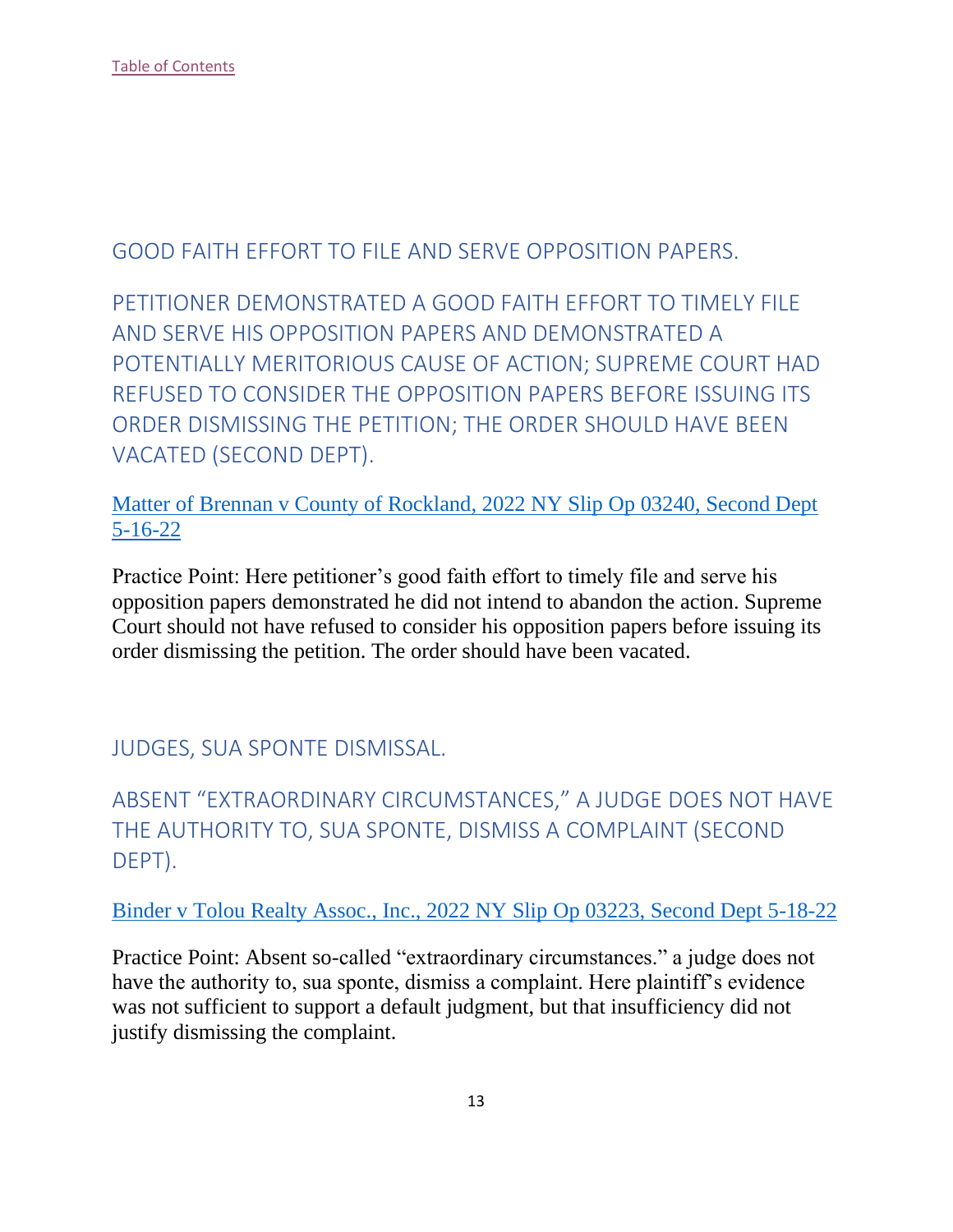<span id="page-13-0"></span>GOOD FAITH EFFORT TO FILE AND SERVE OPPOSITION PAPERS.

<span id="page-13-1"></span>PETITIONER DEMONSTRATED A GOOD FAITH EFFORT TO TIMELY FILE AND SERVE HIS OPPOSITION PAPERS AND DEMONSTRATED A POTENTIALLY MERITORIOUS CAUSE OF ACTION; SUPREME COURT HAD REFUSED TO CONSIDER THE OPPOSITION PAPERS BEFORE ISSUING ITS ORDER DISMISSING THE PETITION; THE ORDER SHOULD HAVE BEEN VACATED (SECOND DEPT).

[Matter of Brennan v County of Rockland, 2022 NY Slip Op 03240, Second Dept](https://nycourts.gov/reporter/3dseries/2022/2022_03240.htm)  [5-16-22](https://nycourts.gov/reporter/3dseries/2022/2022_03240.htm)

Practice Point: Here petitioner's good faith effort to timely file and serve his opposition papers demonstrated he did not intend to abandon the action. Supreme Court should not have refused to consider his opposition papers before issuing its order dismissing the petition. The order should have been vacated.

<span id="page-13-2"></span>JUDGES, SUA SPONTE DISMISSAL.

<span id="page-13-3"></span>ABSENT "EXTRAORDINARY CIRCUMSTANCES," A JUDGE DOES NOT HAVE THE AUTHORITY TO, SUA SPONTE, DISMISS A COMPLAINT (SECOND DEPT).

[Binder v Tolou Realty Assoc., Inc., 2022 NY Slip Op 03223, Second Dept 5-18-22](https://nycourts.gov/reporter/3dseries/2022/2022_03223.htm)

Practice Point: Absent so-called "extraordinary circumstances." a judge does not have the authority to, sua sponte, dismiss a complaint. Here plaintiff's evidence was not sufficient to support a default judgment, but that insufficiency did not justify dismissing the complaint.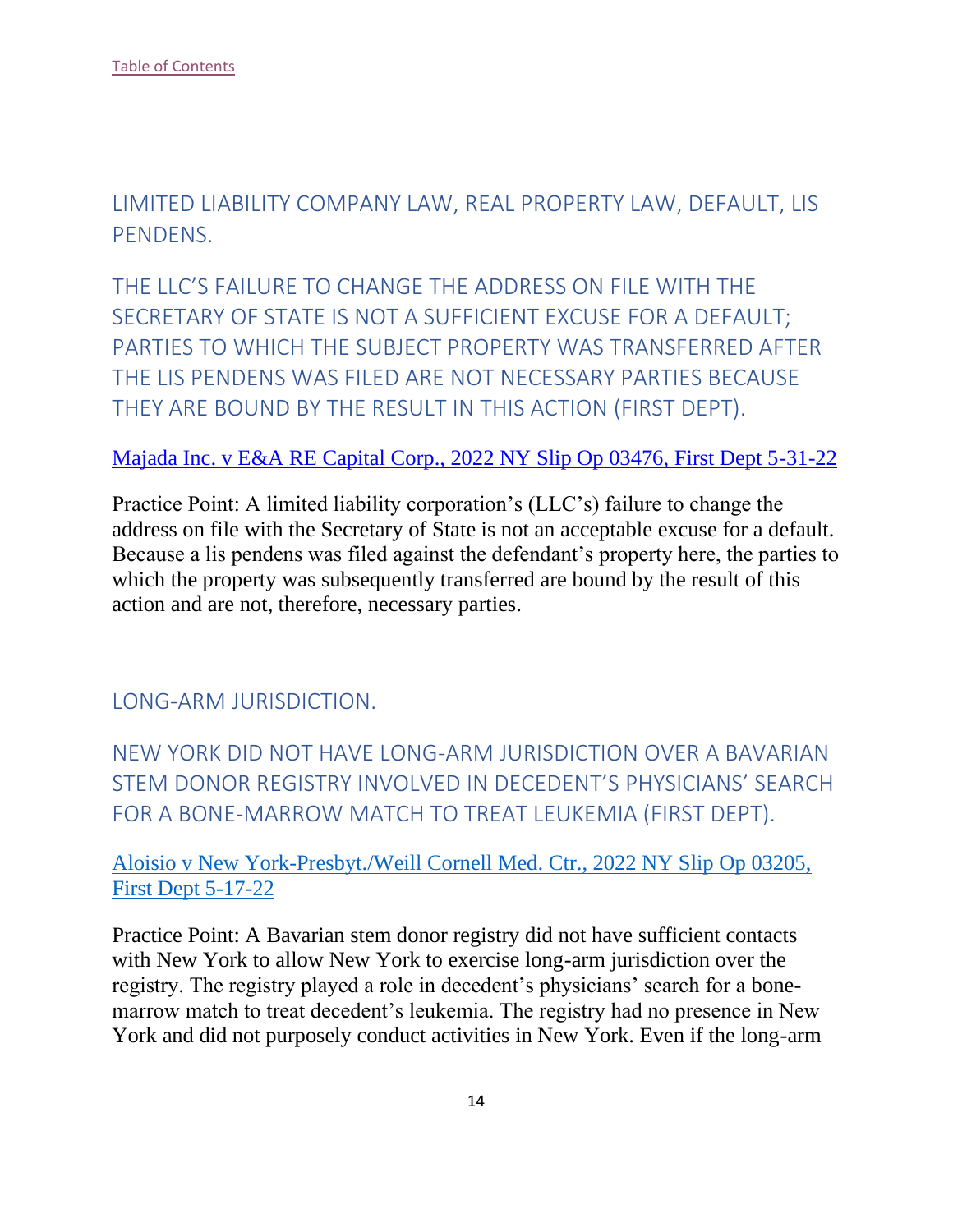<span id="page-14-0"></span>LIMITED LIABILITY COMPANY LAW, REAL PROPERTY LAW, DEFAULT, LIS PENDENS.

<span id="page-14-1"></span>THE LLC'S FAILURE TO CHANGE THE ADDRESS ON FILE WITH THE SECRETARY OF STATE IS NOT A SUFFICIENT EXCUSE FOR A DEFAULT; PARTIES TO WHICH THE SUBJECT PROPERTY WAS TRANSFERRED AFTER THE LIS PENDENS WAS FILED ARE NOT NECESSARY PARTIES BECAUSE THEY ARE BOUND BY THE RESULT IN THIS ACTION (FIRST DEPT).

#### [Majada Inc. v E&A RE Capital Corp., 2022 NY Slip Op 03476, First Dept 5-31-22](https://nycourts.gov/reporter/3dseries/2022/2022_03476.htm)

Practice Point: A limited liability corporation's (LLC's) failure to change the address on file with the Secretary of State is not an acceptable excuse for a default. Because a lis pendens was filed against the defendant's property here, the parties to which the property was subsequently transferred are bound by the result of this action and are not, therefore, necessary parties.

<span id="page-14-2"></span>LONG-ARM JURISDICTION.

<span id="page-14-3"></span>NEW YORK DID NOT HAVE LONG-ARM JURISDICTION OVER A BAVARIAN STEM DONOR REGISTRY INVOLVED IN DECEDENT'S PHYSICIANS' SEARCH FOR A BONE-MARROW MATCH TO TREAT LEUKEMIA (FIRST DEPT).

[Aloisio v New York-Presbyt./Weill Cornell Med. Ctr., 2022 NY Slip Op 03205,](https://nycourts.gov/reporter/3dseries/2022/2022_03205.htm)  [First Dept 5-17-22](https://nycourts.gov/reporter/3dseries/2022/2022_03205.htm)

Practice Point: A Bavarian stem donor registry did not have sufficient contacts with New York to allow New York to exercise long-arm jurisdiction over the registry. The registry played a role in decedent's physicians' search for a bonemarrow match to treat decedent's leukemia. The registry had no presence in New York and did not purposely conduct activities in New York. Even if the long-arm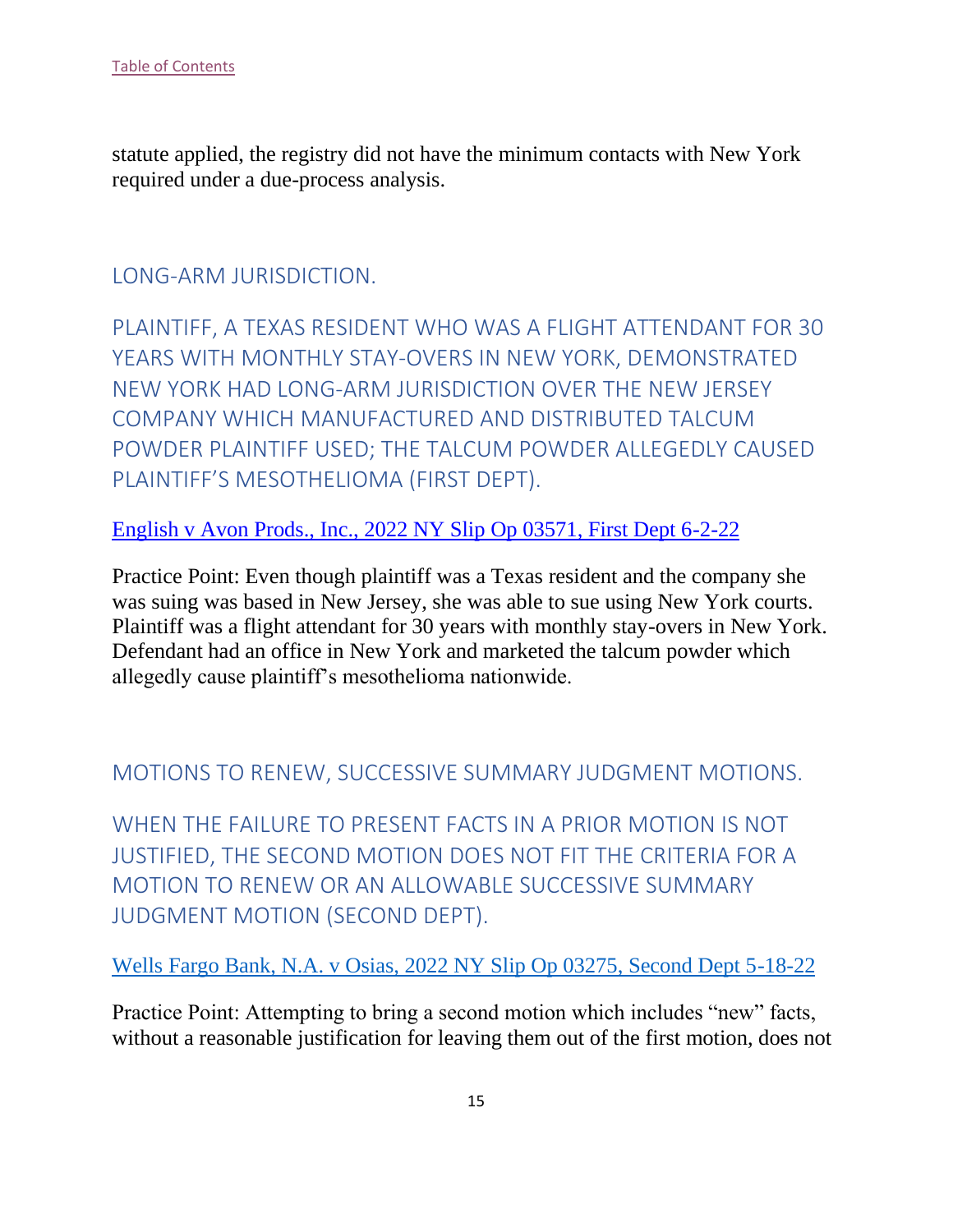statute applied, the registry did not have the minimum contacts with New York required under a due-process analysis.

## <span id="page-15-0"></span>LONG-ARM JURISDICTION.

<span id="page-15-1"></span>PLAINTIFF, A TEXAS RESIDENT WHO WAS A FLIGHT ATTENDANT FOR 30 YEARS WITH MONTHLY STAY-OVERS IN NEW YORK, DEMONSTRATED NEW YORK HAD LONG-ARM JURISDICTION OVER THE NEW JERSEY COMPANY WHICH MANUFACTURED AND DISTRIBUTED TALCUM POWDER PLAINTIFF USED; THE TALCUM POWDER ALLEGEDLY CAUSED PLAINTIFF'S MESOTHELIOMA (FIRST DEPT).

#### [English v Avon Prods., Inc., 2022 NY Slip Op 03571, First Dept 6-2-22](https://nycourts.gov/reporter/3dseries/2022/2022_03571.htm)

Practice Point: Even though plaintiff was a Texas resident and the company she was suing was based in New Jersey, she was able to sue using New York courts. Plaintiff was a flight attendant for 30 years with monthly stay-overs in New York. Defendant had an office in New York and marketed the talcum powder which allegedly cause plaintiff's mesothelioma nationwide.

## <span id="page-15-2"></span>MOTIONS TO RENEW, SUCCESSIVE SUMMARY JUDGMENT MOTIONS.

<span id="page-15-3"></span>WHEN THE FAILURE TO PRESENT FACTS IN A PRIOR MOTION IS NOT JUSTIFIED, THE SECOND MOTION DOES NOT FIT THE CRITERIA FOR A MOTION TO RENEW OR AN ALLOWABLE SUCCESSIVE SUMMARY JUDGMENT MOTION (SECOND DEPT).

#### [Wells Fargo Bank, N.A. v Osias, 2022 NY Slip Op 03275, Second Dept 5-18-22](https://nycourts.gov/reporter/3dseries/2022/2022_03275.htm)

Practice Point: Attempting to bring a second motion which includes "new" facts, without a reasonable justification for leaving them out of the first motion, does not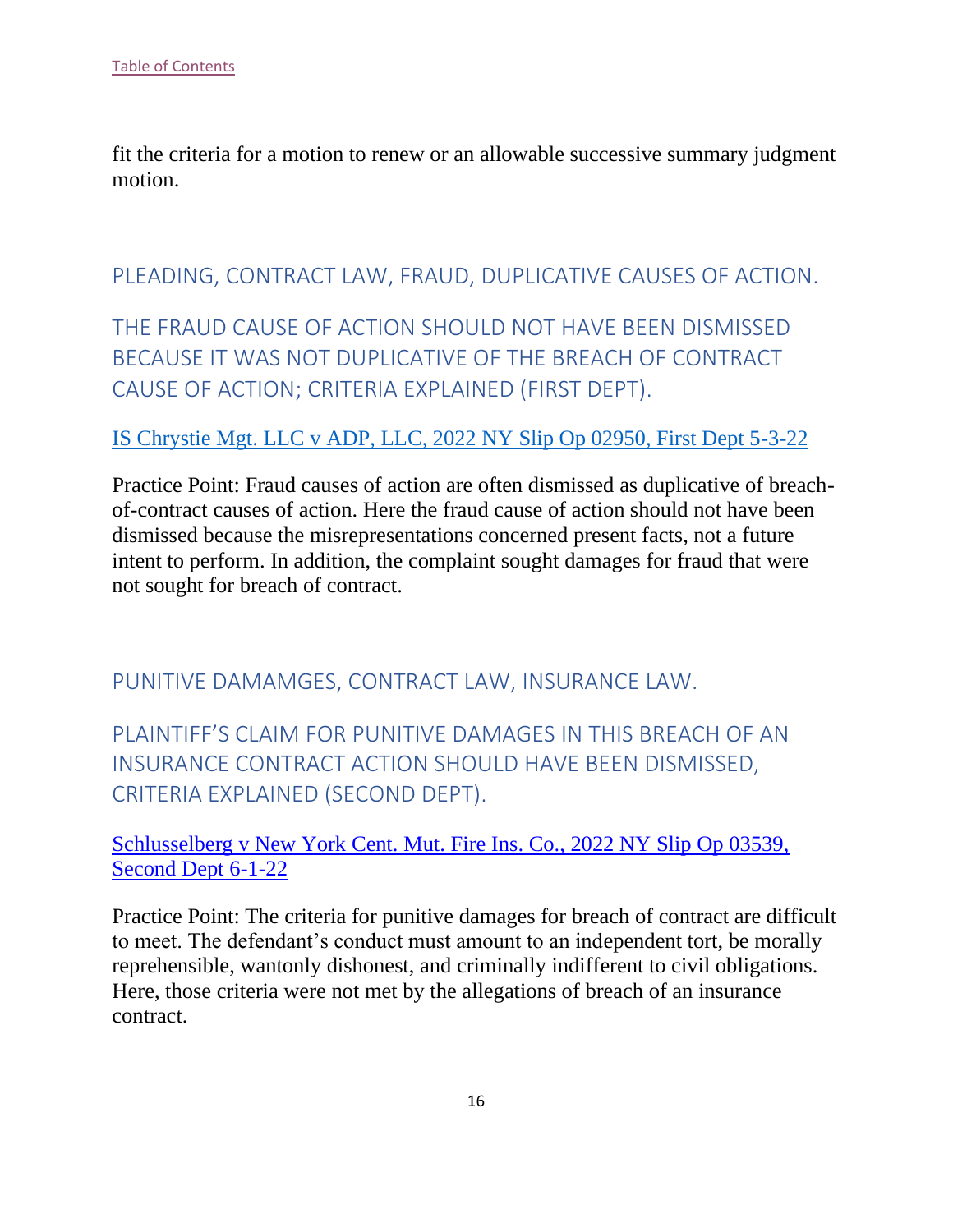fit the criteria for a motion to renew or an allowable successive summary judgment motion.

## <span id="page-16-0"></span>PLEADING, CONTRACT LAW, FRAUD, DUPLICATIVE CAUSES OF ACTION.

<span id="page-16-1"></span>THE FRAUD CAUSE OF ACTION SHOULD NOT HAVE BEEN DISMISSED BECAUSE IT WAS NOT DUPLICATIVE OF THE BREACH OF CONTRACT CAUSE OF ACTION; CRITERIA EXPLAINED (FIRST DEPT).

#### [IS Chrystie Mgt. LLC v ADP, LLC, 2022 NY Slip Op 02950, First Dept 5-3-22](https://nycourts.gov/reporter/3dseries/2022/2022_02950.htm)

Practice Point: Fraud causes of action are often dismissed as duplicative of breachof-contract causes of action. Here the fraud cause of action should not have been dismissed because the misrepresentations concerned present facts, not a future intent to perform. In addition, the complaint sought damages for fraud that were not sought for breach of contract.

<span id="page-16-2"></span>PUNITIVE DAMAMGES, CONTRACT LAW, INSURANCE LAW.

<span id="page-16-3"></span>PLAINTIFF'S CLAIM FOR PUNITIVE DAMAGES IN THIS BREACH OF AN INSURANCE CONTRACT ACTION SHOULD HAVE BEEN DISMISSED, CRITERIA EXPLAINED (SECOND DEPT).

[Schlusselberg v New York Cent. Mut. Fire Ins. Co., 2022 NY Slip Op 03539,](https://nycourts.gov/reporter/3dseries/2022/2022_03539.htm)  [Second Dept 6-1-22](https://nycourts.gov/reporter/3dseries/2022/2022_03539.htm)

Practice Point: The criteria for punitive damages for breach of contract are difficult to meet. The defendant's conduct must amount to an independent tort, be morally reprehensible, wantonly dishonest, and criminally indifferent to civil obligations. Here, those criteria were not met by the allegations of breach of an insurance contract.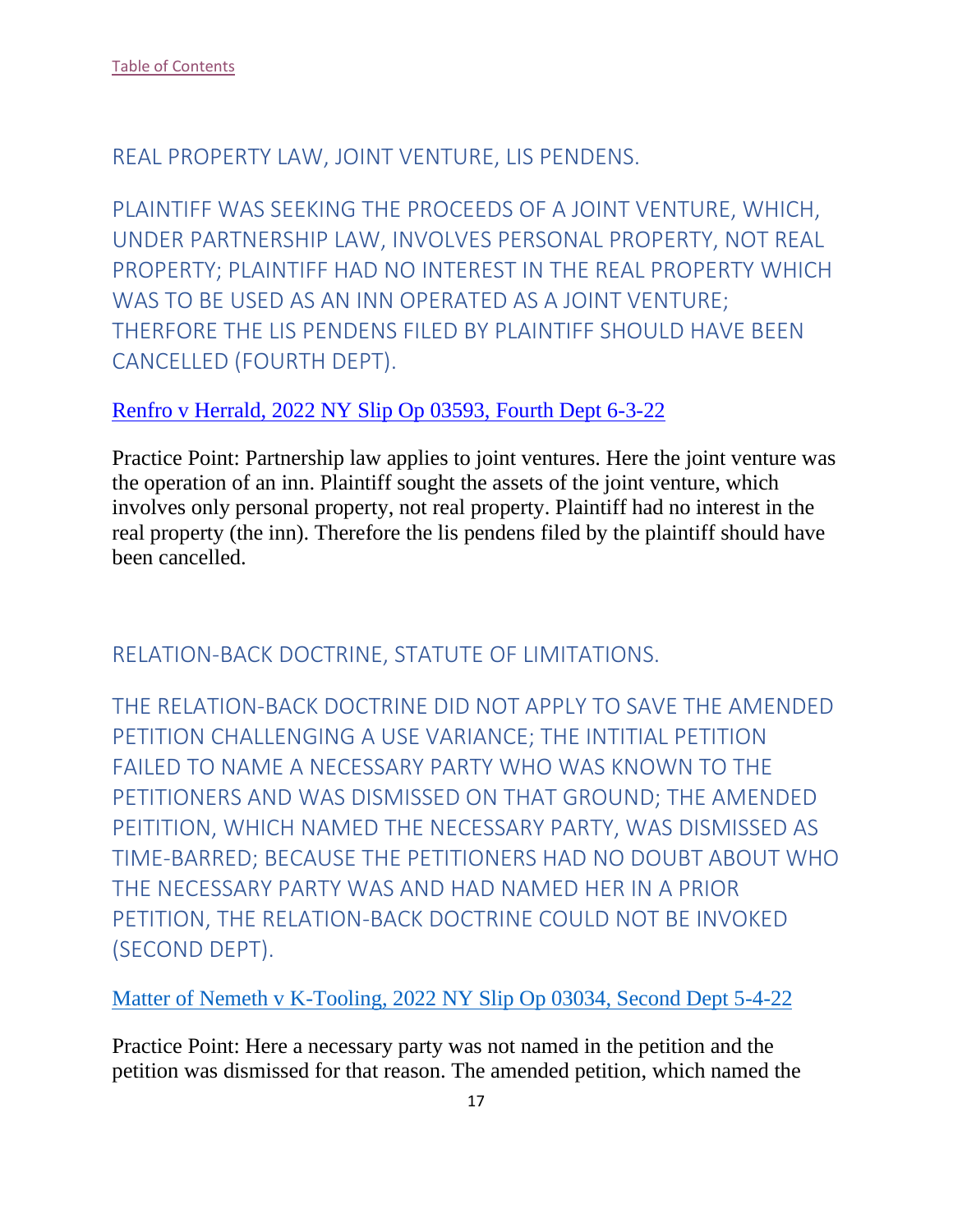## <span id="page-17-0"></span>REAL PROPERTY LAW, JOINT VENTURE, LIS PENDENS.

<span id="page-17-1"></span>PLAINTIFF WAS SEEKING THE PROCEEDS OF A JOINT VENTURE, WHICH, UNDER PARTNERSHIP LAW, INVOLVES PERSONAL PROPERTY, NOT REAL PROPERTY; PLAINTIFF HAD NO INTEREST IN THE REAL PROPERTY WHICH WAS TO BE USED AS AN INN OPERATED AS A JOINT VENTURE; THERFORE THE LIS PENDENS FILED BY PLAINTIFF SHOULD HAVE BEEN CANCELLED (FOURTH DEPT).

#### [Renfro v Herrald, 2022 NY Slip Op 03593,](https://nycourts.gov/reporter/3dseries/2022/2022_03593.htm) Fourth Dept 6-3-22

Practice Point: Partnership law applies to joint ventures. Here the joint venture was the operation of an inn. Plaintiff sought the assets of the joint venture, which involves only personal property, not real property. Plaintiff had no interest in the real property (the inn). Therefore the lis pendens filed by the plaintiff should have been cancelled.

## <span id="page-17-2"></span>RELATION-BACK DOCTRINE, STATUTE OF LIMITATIONS.

<span id="page-17-3"></span>THE RELATION-BACK DOCTRINE DID NOT APPLY TO SAVE THE AMENDED PETITION CHALLENGING A USE VARIANCE; THE INTITIAL PETITION FAILED TO NAME A NECESSARY PARTY WHO WAS KNOWN TO THE PETITIONERS AND WAS DISMISSED ON THAT GROUND; THE AMENDED PEITITION, WHICH NAMED THE NECESSARY PARTY, WAS DISMISSED AS TIME-BARRED; BECAUSE THE PETITIONERS HAD NO DOUBT ABOUT WHO THE NECESSARY PARTY WAS AND HAD NAMED HER IN A PRIOR PETITION, THE RELATION-BACK DOCTRINE COULD NOT BE INVOKED (SECOND DEPT).

[Matter of Nemeth v K-Tooling, 2022 NY Slip Op 03034, Second Dept 5-4-22](https://nycourts.gov/reporter/3dseries/2022/2022_03034.htm)

Practice Point: Here a necessary party was not named in the petition and the petition was dismissed for that reason. The amended petition, which named the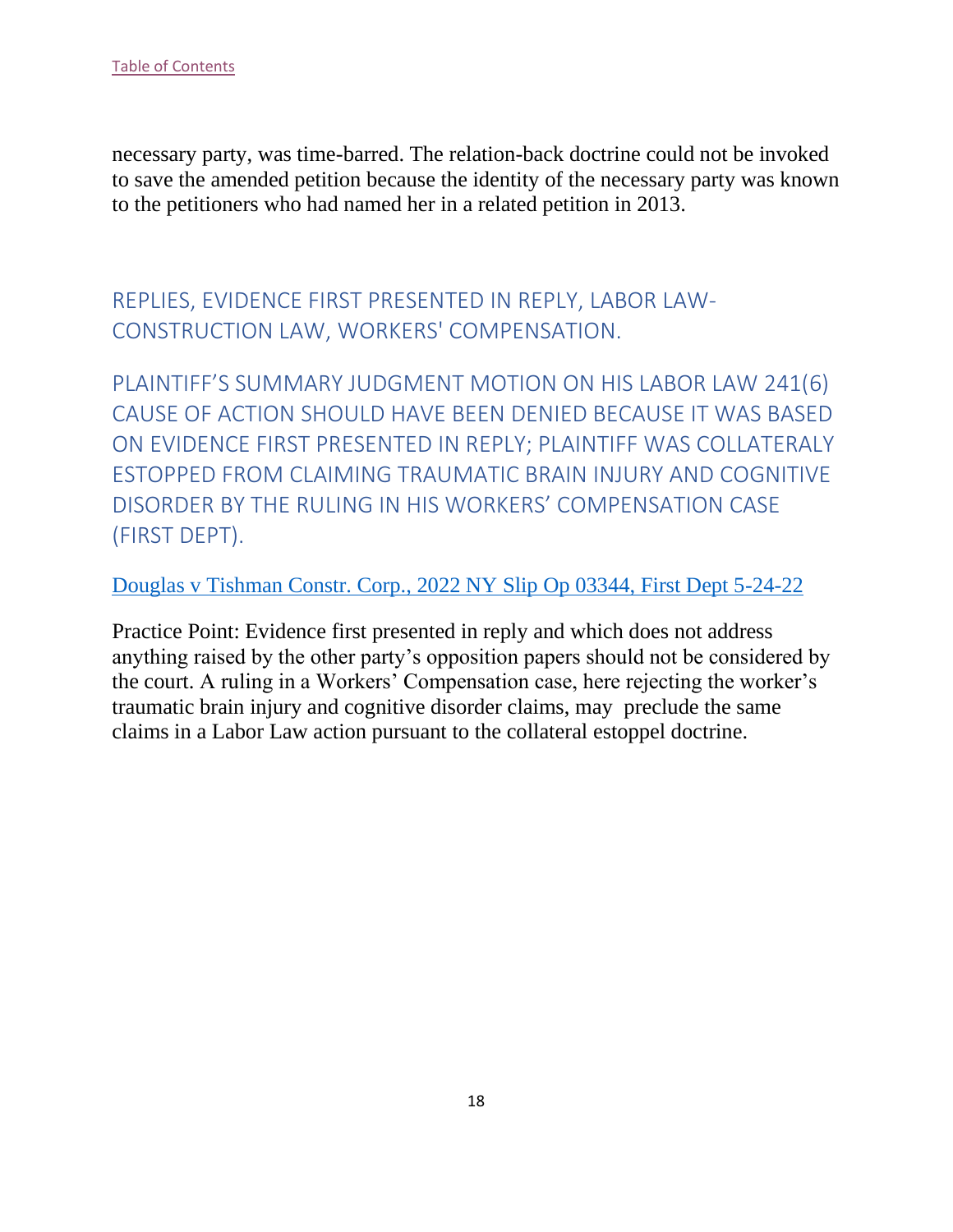necessary party, was time-barred. The relation-back doctrine could not be invoked to save the amended petition because the identity of the necessary party was known to the petitioners who had named her in a related petition in 2013.

<span id="page-18-0"></span>REPLIES, EVIDENCE FIRST PRESENTED IN REPLY, LABOR LAW-CONSTRUCTION LAW, WORKERS' COMPENSATION.

<span id="page-18-1"></span>PLAINTIFF'S SUMMARY JUDGMENT MOTION ON HIS LABOR LAW 241(6) CAUSE OF ACTION SHOULD HAVE BEEN DENIED BECAUSE IT WAS BASED ON EVIDENCE FIRST PRESENTED IN REPLY; PLAINTIFF WAS COLLATERALY ESTOPPED FROM CLAIMING TRAUMATIC BRAIN INJURY AND COGNITIVE DISORDER BY THE RULING IN HIS WORKERS' COMPENSATION CASE (FIRST DEPT).

[Douglas v Tishman Constr. Corp., 2022 NY Slip Op 03344, First Dept 5-24-22](https://nycourts.gov/reporter/3dseries/2022/2022_03344.htm)

Practice Point: Evidence first presented in reply and which does not address anything raised by the other party's opposition papers should not be considered by the court. A ruling in a Workers' Compensation case, here rejecting the worker's traumatic brain injury and cognitive disorder claims, may preclude the same claims in a Labor Law action pursuant to the collateral estoppel doctrine.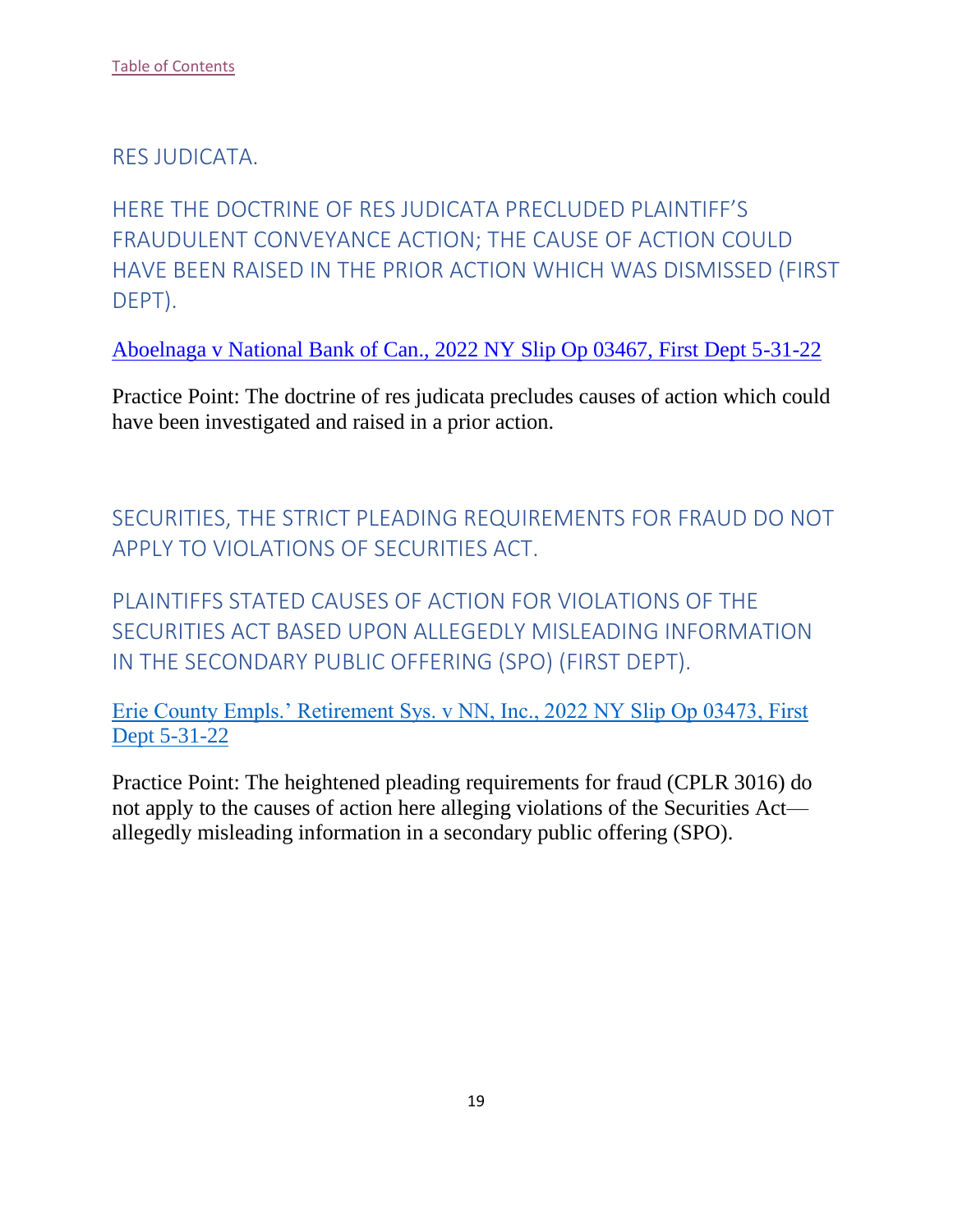#### <span id="page-19-0"></span>RES JUDICATA.

<span id="page-19-1"></span>HERE THE DOCTRINE OF RES JUDICATA PRECLUDED PLAINTIFF'S FRAUDULENT CONVEYANCE ACTION; THE CAUSE OF ACTION COULD HAVE BEEN RAISED IN THE PRIOR ACTION WHICH WAS DISMISSED (FIRST DEPT).

Aboelnaga v National Bank of Can., 2022 NY Slip Op 03467, First Dept 5-31-22

Practice Point: The doctrine of res judicata precludes causes of action which could have been investigated and raised in a prior action.

<span id="page-19-2"></span>SECURITIES, THE STRICT PLEADING REQUIREMENTS FOR FRAUD DO NOT APPLY TO VIOLATIONS OF SECURITIES ACT.

<span id="page-19-3"></span>PLAINTIFFS STATED CAUSES OF ACTION FOR VIOLATIONS OF THE SECURITIES ACT BASED UPON ALLEGEDLY MISLEADING INFORMATION IN THE SECONDARY PUBLIC OFFERING (SPO) (FIRST DEPT).

Erie County Empls.' Retirement Sys. v NN, Inc., 2022 NY Slip Op 03473, First Dept 5-31-22

Practice Point: The heightened pleading requirements for fraud (CPLR 3016) do not apply to the causes of action here alleging violations of the Securities Act allegedly misleading information in a secondary public offering (SPO).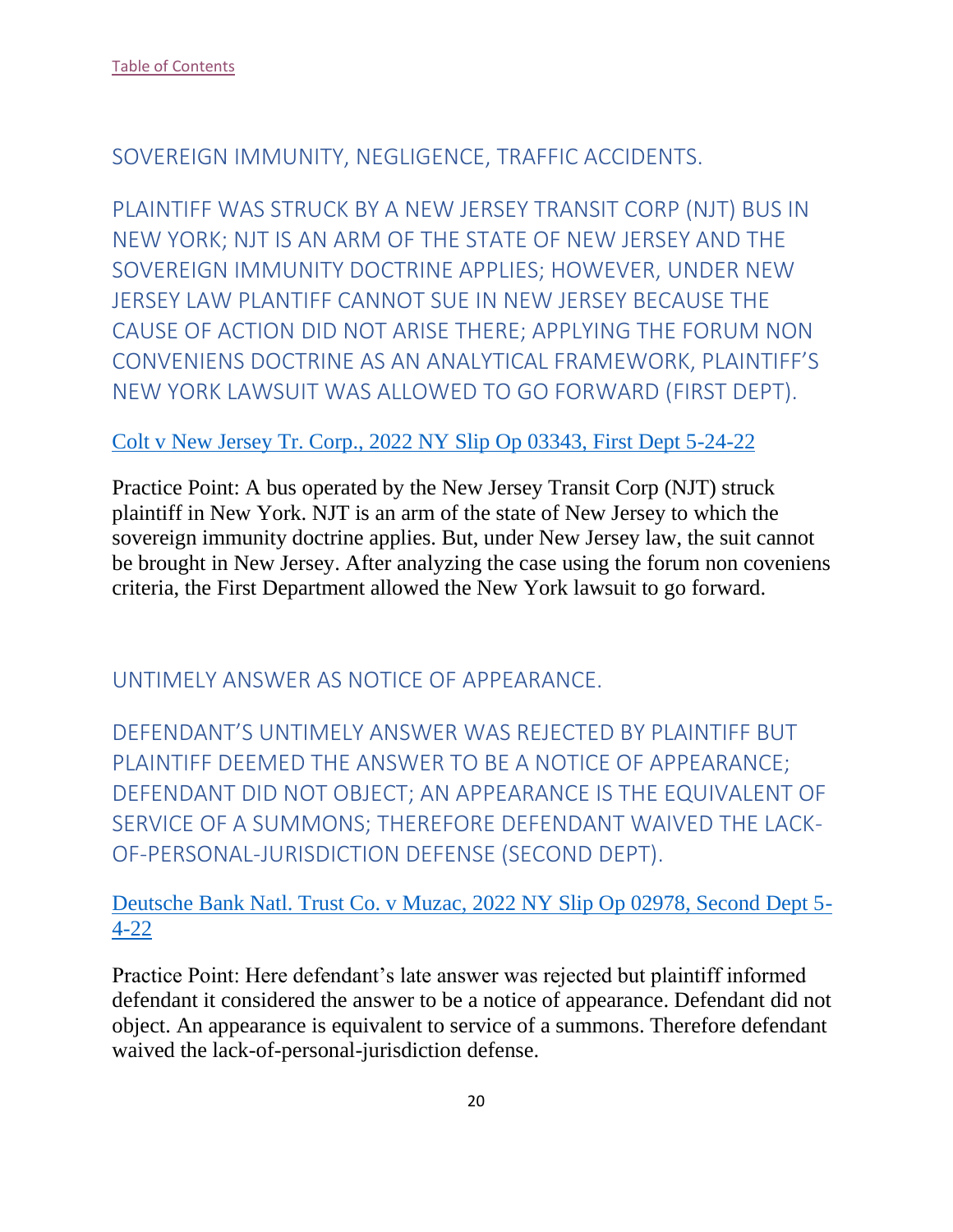## <span id="page-20-0"></span>SOVEREIGN IMMUNITY, NEGLIGENCE, TRAFFIC ACCIDENTS.

<span id="page-20-1"></span>PLAINTIFF WAS STRUCK BY A NEW JERSEY TRANSIT CORP (NJT) BUS IN NEW YORK; NJT IS AN ARM OF THE STATE OF NEW JERSEY AND THE SOVEREIGN IMMUNITY DOCTRINE APPLIES; HOWEVER, UNDER NEW JERSEY LAW PLANTIFF CANNOT SUE IN NEW JERSEY BECAUSE THE CAUSE OF ACTION DID NOT ARISE THERE; APPLYING THE FORUM NON CONVENIENS DOCTRINE AS AN ANALYTICAL FRAMEWORK, PLAINTIFF'S NEW YORK LAWSUIT WAS ALLOWED TO GO FORWARD (FIRST DEPT).

#### Colt v New Jersey Tr. Corp., 2022 NY Slip Op 03343, First Dept 5-24-22

Practice Point: A bus operated by the New Jersey Transit Corp (NJT) struck plaintiff in New York. NJT is an arm of the state of New Jersey to which the sovereign immunity doctrine applies. But, under New Jersey law, the suit cannot be brought in New Jersey. After analyzing the case using the forum non coveniens criteria, the First Department allowed the New York lawsuit to go forward.

<span id="page-20-2"></span>UNTIMELY ANSWER AS NOTICE OF APPEARANCE.

<span id="page-20-3"></span>DEFENDANT'S UNTIMELY ANSWER WAS REJECTED BY PLAINTIFF BUT PLAINTIFF DEEMED THE ANSWER TO BE A NOTICE OF APPEARANCE; DEFENDANT DID NOT OBJECT; AN APPEARANCE IS THE EQUIVALENT OF SERVICE OF A SUMMONS; THEREFORE DEFENDANT WAIVED THE LACK-OF-PERSONAL-JURISDICTION DEFENSE (SECOND DEPT).

Deutsche Bank Natl. Trust Co. v Muzac, 2022 NY Slip Op 02978, Second Dept 5- 4-22

Practice Point: Here defendant's late answer was rejected but plaintiff informed defendant it considered the answer to be a notice of appearance. Defendant did not object. An appearance is equivalent to service of a summons. Therefore defendant waived the lack-of-personal-jurisdiction defense.